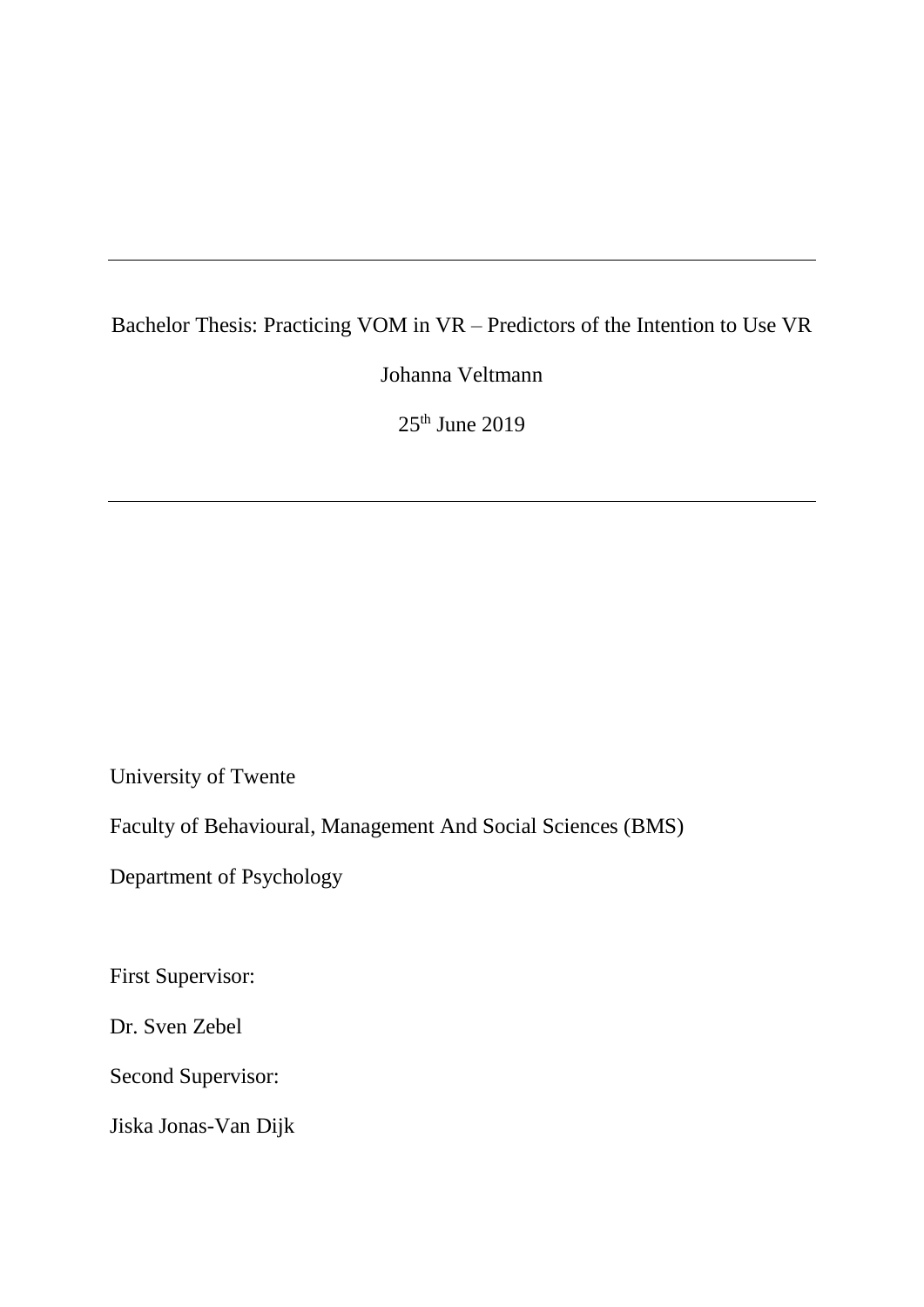# Bachelor Thesis: Practicing VOM in VR – Predictors of the Intention to Use VR

Johanna Veltmann

 $25<sup>th</sup>$  June  $2019$ 

University of Twente

Faculty of Behavioural, Management And Social Sciences (BMS)

Department of Psychology

First Supervisor:

Dr. Sven Zebel

Second Supervisor:

Jiska Jonas-Van Dijk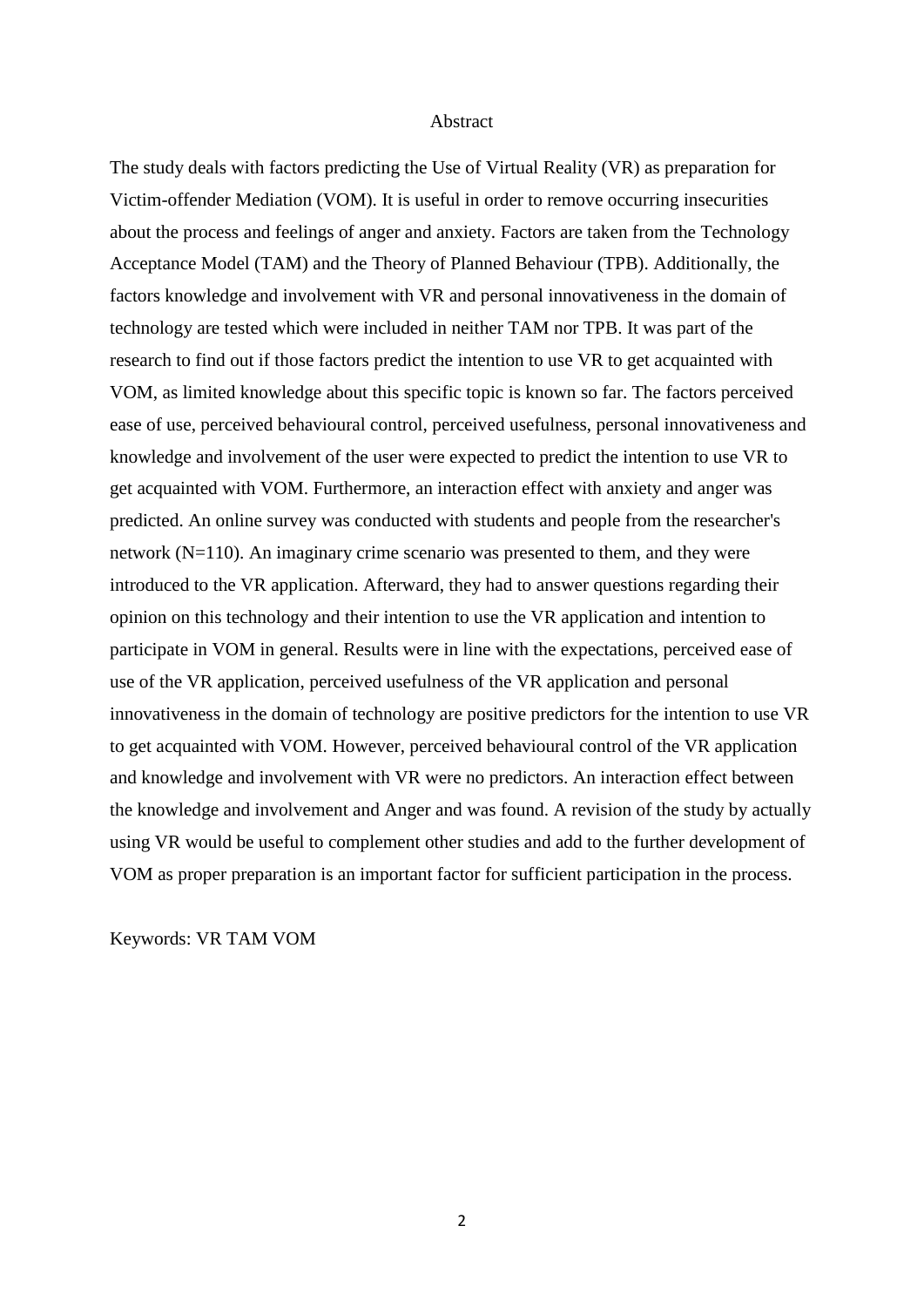#### Abstract

The study deals with factors predicting the Use of Virtual Reality (VR) as preparation for Victim-offender Mediation (VOM). It is useful in order to remove occurring insecurities about the process and feelings of anger and anxiety. Factors are taken from the Technology Acceptance Model (TAM) and the Theory of Planned Behaviour (TPB). Additionally, the factors knowledge and involvement with VR and personal innovativeness in the domain of technology are tested which were included in neither TAM nor TPB. It was part of the research to find out if those factors predict the intention to use VR to get acquainted with VOM, as limited knowledge about this specific topic is known so far. The factors perceived ease of use, perceived behavioural control, perceived usefulness, personal innovativeness and knowledge and involvement of the user were expected to predict the intention to use VR to get acquainted with VOM. Furthermore, an interaction effect with anxiety and anger was predicted. An online survey was conducted with students and people from the researcher's network (N=110). An imaginary crime scenario was presented to them, and they were introduced to the VR application. Afterward, they had to answer questions regarding their opinion on this technology and their intention to use the VR application and intention to participate in VOM in general. Results were in line with the expectations, perceived ease of use of the VR application, perceived usefulness of the VR application and personal innovativeness in the domain of technology are positive predictors for the intention to use VR to get acquainted with VOM. However, perceived behavioural control of the VR application and knowledge and involvement with VR were no predictors. An interaction effect between the knowledge and involvement and Anger and was found. A revision of the study by actually using VR would be useful to complement other studies and add to the further development of VOM as proper preparation is an important factor for sufficient participation in the process.

Keywords: VR TAM VOM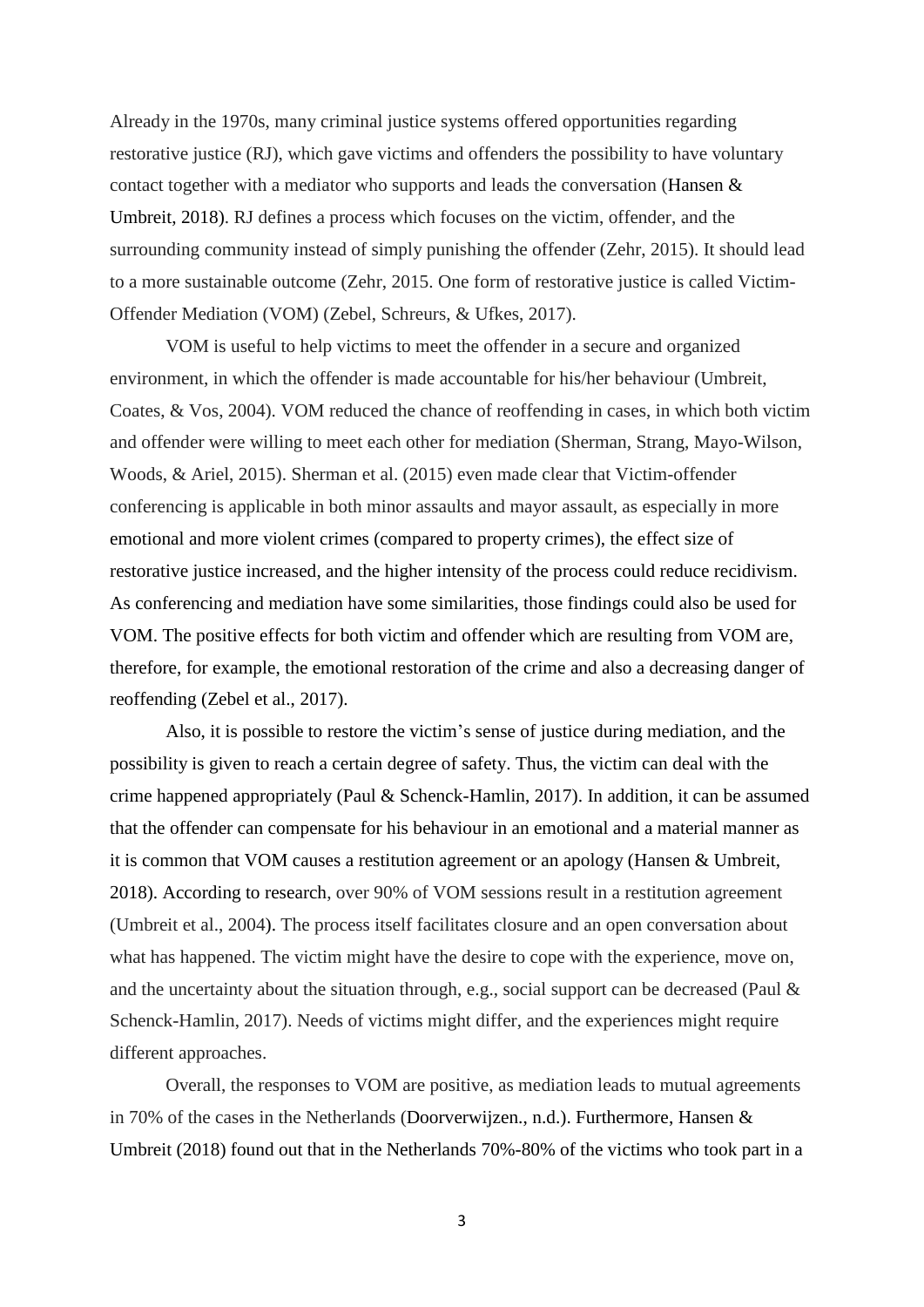Already in the 1970s, many criminal justice systems offered opportunities regarding restorative justice (RJ), which gave victims and offenders the possibility to have voluntary contact together with a mediator who supports and leads the conversation (Hansen  $\&$ Umbreit, 2018). RJ defines a process which focuses on the victim, offender, and the surrounding community instead of simply punishing the offender (Zehr, 2015). It should lead to a more sustainable outcome (Zehr, 2015. One form of restorative justice is called Victim-Offender Mediation (VOM) (Zebel, Schreurs, & Ufkes, 2017).

VOM is useful to help victims to meet the offender in a secure and organized environment, in which the offender is made accountable for his/her behaviour (Umbreit, Coates, & Vos, 2004). VOM reduced the chance of reoffending in cases, in which both victim and offender were willing to meet each other for mediation (Sherman, Strang, Mayo-Wilson, Woods, & Ariel, 2015). Sherman et al. (2015) even made clear that Victim-offender conferencing is applicable in both minor assaults and mayor assault, as especially in more emotional and more violent crimes (compared to property crimes), the effect size of restorative justice increased, and the higher intensity of the process could reduce recidivism. As conferencing and mediation have some similarities, those findings could also be used for VOM. The positive effects for both victim and offender which are resulting from VOM are, therefore, for example, the emotional restoration of the crime and also a decreasing danger of reoffending (Zebel et al., 2017).

Also, it is possible to restore the victim's sense of justice during mediation, and the possibility is given to reach a certain degree of safety. Thus, the victim can deal with the crime happened appropriately (Paul & Schenck-Hamlin, 2017). In addition, it can be assumed that the offender can compensate for his behaviour in an emotional and a material manner as it is common that VOM causes a restitution agreement or an apology (Hansen & Umbreit, 2018). According to research, over 90% of VOM sessions result in a restitution agreement (Umbreit et al., 2004). The process itself facilitates closure and an open conversation about what has happened. The victim might have the desire to cope with the experience, move on, and the uncertainty about the situation through, e.g., social support can be decreased (Paul & Schenck-Hamlin, 2017). Needs of victims might differ, and the experiences might require different approaches.

Overall, the responses to VOM are positive, as mediation leads to mutual agreements in 70% of the cases in the Netherlands (Doorverwijzen., n.d.). Furthermore, Hansen & Umbreit (2018) found out that in the Netherlands 70%-80% of the victims who took part in a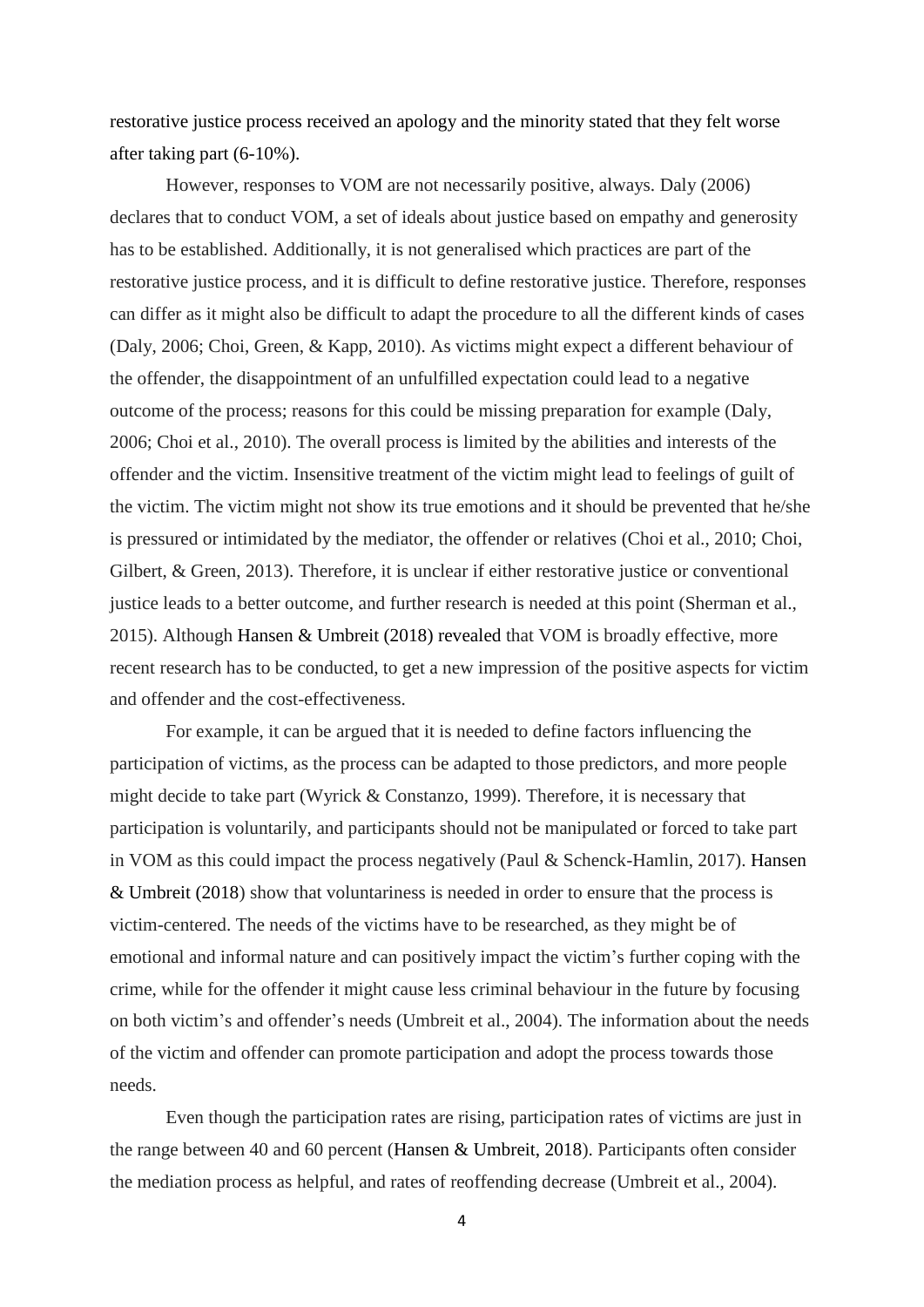restorative justice process received an apology and the minority stated that they felt worse after taking part (6-10%).

However, responses to VOM are not necessarily positive, always. Daly (2006) declares that to conduct VOM, a set of ideals about justice based on empathy and generosity has to be established. Additionally, it is not generalised which practices are part of the restorative justice process, and it is difficult to define restorative justice. Therefore, responses can differ as it might also be difficult to adapt the procedure to all the different kinds of cases (Daly, 2006; Choi, Green, & Kapp, 2010). As victims might expect a different behaviour of the offender, the disappointment of an unfulfilled expectation could lead to a negative outcome of the process; reasons for this could be missing preparation for example (Daly, 2006; Choi et al., 2010). The overall process is limited by the abilities and interests of the offender and the victim. Insensitive treatment of the victim might lead to feelings of guilt of the victim. The victim might not show its true emotions and it should be prevented that he/she is pressured or intimidated by the mediator, the offender or relatives (Choi et al., 2010; Choi, Gilbert, & Green, 2013). Therefore, it is unclear if either restorative justice or conventional justice leads to a better outcome, and further research is needed at this point (Sherman et al., 2015). Although Hansen & Umbreit (2018) revealed that VOM is broadly effective, more recent research has to be conducted, to get a new impression of the positive aspects for victim and offender and the cost-effectiveness.

For example, it can be argued that it is needed to define factors influencing the participation of victims, as the process can be adapted to those predictors, and more people might decide to take part (Wyrick & Constanzo, 1999). Therefore, it is necessary that participation is voluntarily, and participants should not be manipulated or forced to take part in VOM as this could impact the process negatively (Paul & Schenck-Hamlin, 2017). Hansen & Umbreit (2018) show that voluntariness is needed in order to ensure that the process is victim-centered. The needs of the victims have to be researched, as they might be of emotional and informal nature and can positively impact the victim's further coping with the crime, while for the offender it might cause less criminal behaviour in the future by focusing on both victim's and offender's needs (Umbreit et al., 2004). The information about the needs of the victim and offender can promote participation and adopt the process towards those needs.

Even though the participation rates are rising, participation rates of victims are just in the range between 40 and 60 percent (Hansen & Umbreit, 2018). Participants often consider the mediation process as helpful, and rates of reoffending decrease (Umbreit et al., 2004).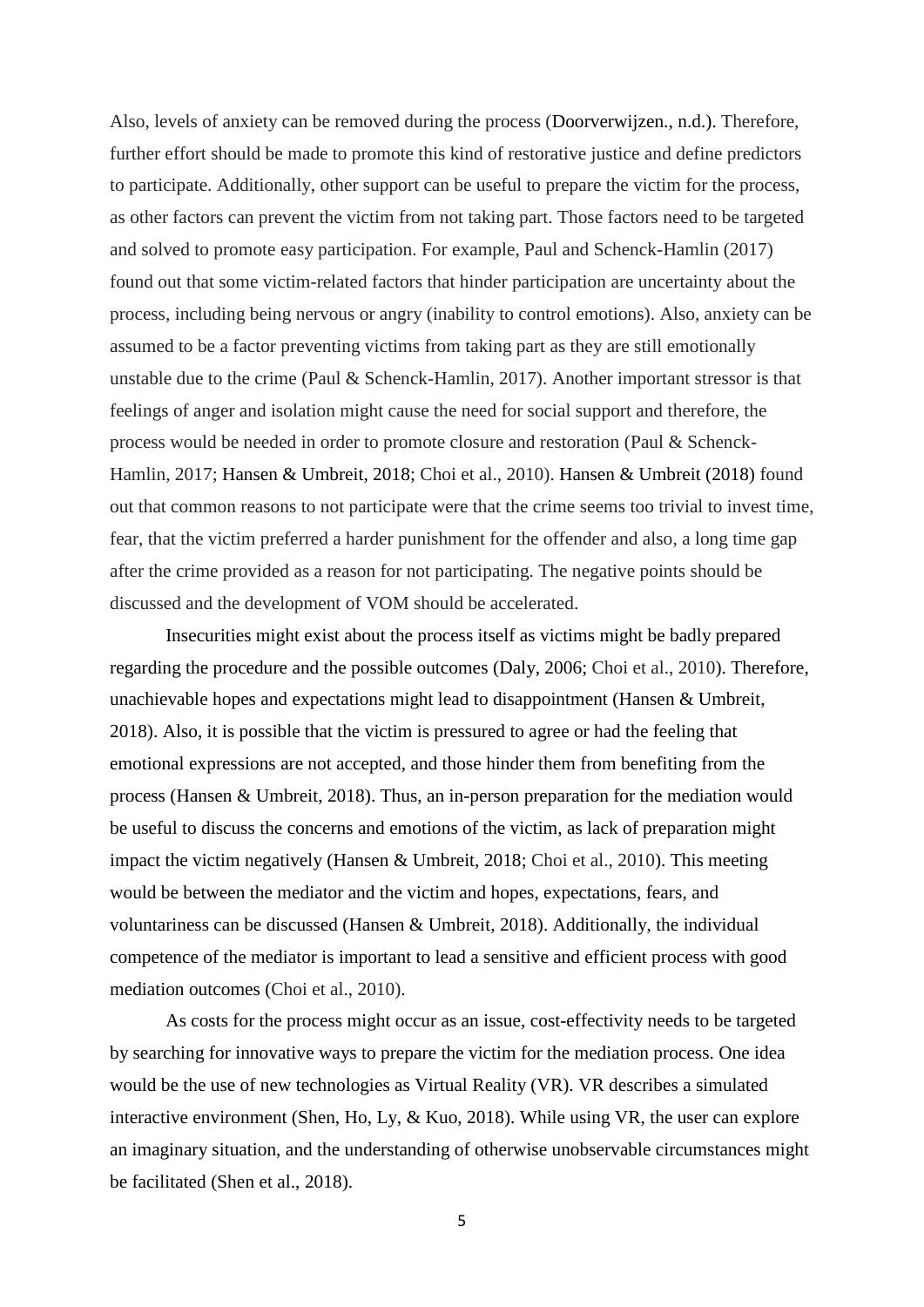Also, levels of anxiety can be removed during the process (Doorverwijzen., n.d.). Therefore, further effort should be made to promote this kind of restorative justice and define predictors to participate. Additionally, other support can be useful to prepare the victim for the process, as other factors can prevent the victim from not taking part. Those factors need to be targeted and solved to promote easy participation. For example, Paul and Schenck-Hamlin (2017) found out that some victim-related factors that hinder participation are uncertainty about the process, including being nervous or angry (inability to control emotions). Also, anxiety can be assumed to be a factor preventing victims from taking part as they are still emotionally unstable due to the crime (Paul & Schenck-Hamlin, 2017). Another important stressor is that feelings of anger and isolation might cause the need for social support and therefore, the process would be needed in order to promote closure and restoration (Paul & Schenck-Hamlin, 2017; Hansen & Umbreit, 2018; Choi et al., 2010). Hansen & Umbreit (2018) found out that common reasons to not participate were that the crime seems too trivial to invest time, fear, that the victim preferred a harder punishment for the offender and also, a long time gap after the crime provided as a reason for not participating. The negative points should be discussed and the development of VOM should be accelerated.

Insecurities might exist about the process itself as victims might be badly prepared regarding the procedure and the possible outcomes (Daly, 2006; Choi et al., 2010). Therefore, unachievable hopes and expectations might lead to disappointment (Hansen & Umbreit, 2018). Also, it is possible that the victim is pressured to agree or had the feeling that emotional expressions are not accepted, and those hinder them from benefiting from the process (Hansen & Umbreit, 2018). Thus, an in-person preparation for the mediation would be useful to discuss the concerns and emotions of the victim, as lack of preparation might impact the victim negatively (Hansen & Umbreit, 2018; Choi et al., 2010). This meeting would be between the mediator and the victim and hopes, expectations, fears, and voluntariness can be discussed (Hansen & Umbreit, 2018). Additionally, the individual competence of the mediator is important to lead a sensitive and efficient process with good mediation outcomes (Choi et al., 2010).

As costs for the process might occur as an issue, cost-effectivity needs to be targeted by searching for innovative ways to prepare the victim for the mediation process. One idea would be the use of new technologies as Virtual Reality (VR). VR describes a simulated interactive environment (Shen, Ho, Ly, & Kuo, 2018). While using VR, the user can explore an imaginary situation, and the understanding of otherwise unobservable circumstances might be facilitated (Shen et al., 2018).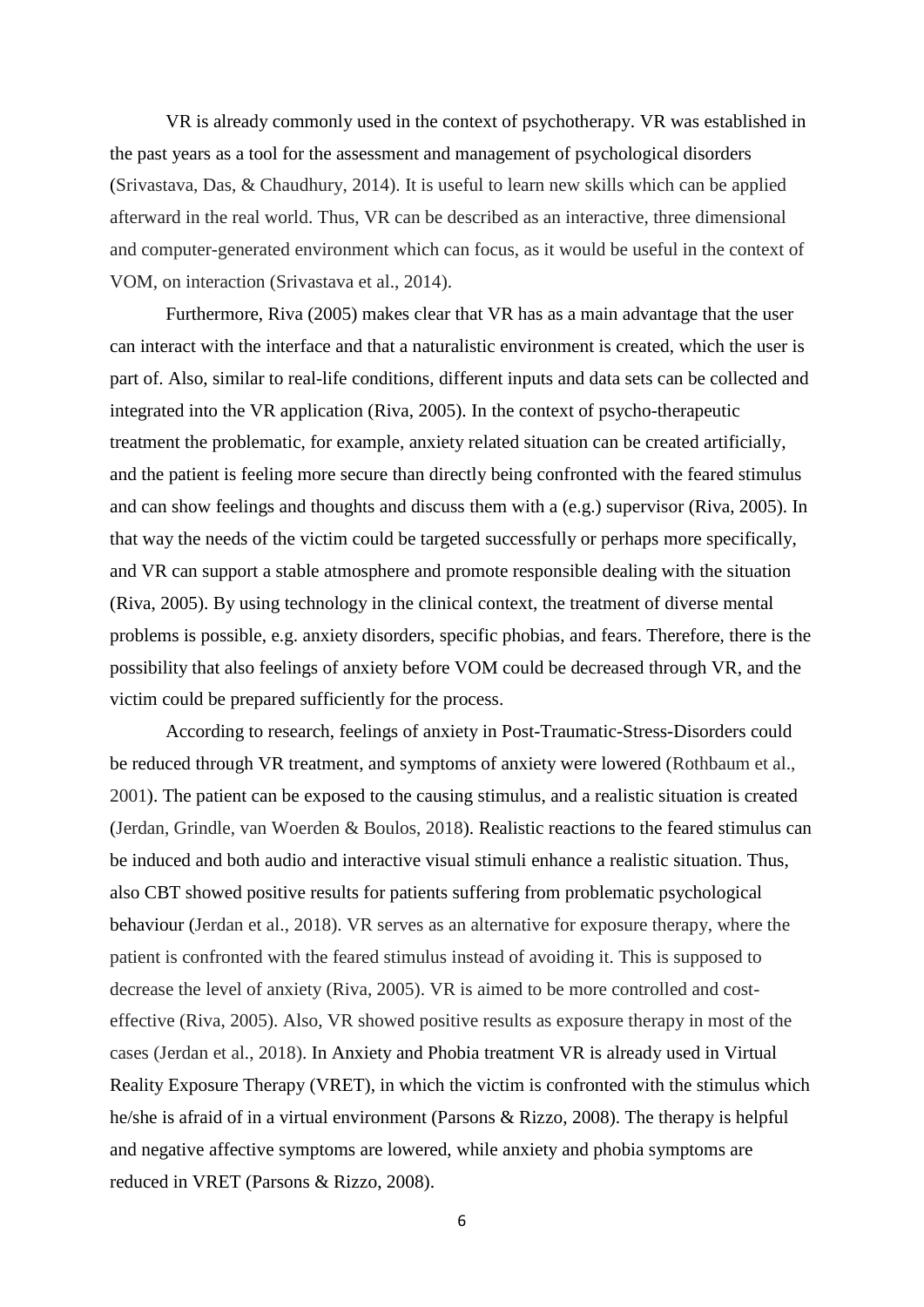VR is already commonly used in the context of psychotherapy. VR was established in the past years as a tool for the assessment and management of psychological disorders (Srivastava, Das, & Chaudhury, 2014). It is useful to learn new skills which can be applied afterward in the real world. Thus, VR can be described as an interactive, three dimensional and computer-generated environment which can focus, as it would be useful in the context of VOM, on interaction (Srivastava et al., 2014).

Furthermore, Riva (2005) makes clear that VR has as a main advantage that the user can interact with the interface and that a naturalistic environment is created, which the user is part of. Also, similar to real-life conditions, different inputs and data sets can be collected and integrated into the VR application (Riva, 2005). In the context of psycho-therapeutic treatment the problematic, for example, anxiety related situation can be created artificially, and the patient is feeling more secure than directly being confronted with the feared stimulus and can show feelings and thoughts and discuss them with a (e.g.) supervisor (Riva, 2005). In that way the needs of the victim could be targeted successfully or perhaps more specifically, and VR can support a stable atmosphere and promote responsible dealing with the situation (Riva, 2005). By using technology in the clinical context, the treatment of diverse mental problems is possible, e.g. anxiety disorders, specific phobias, and fears. Therefore, there is the possibility that also feelings of anxiety before VOM could be decreased through VR, and the victim could be prepared sufficiently for the process.

According to research, feelings of anxiety in Post-Traumatic-Stress-Disorders could be reduced through VR treatment, and symptoms of anxiety were lowered (Rothbaum et al., 2001). The patient can be exposed to the causing stimulus, and a realistic situation is created (Jerdan, Grindle, van Woerden & Boulos, 2018). Realistic reactions to the feared stimulus can be induced and both audio and interactive visual stimuli enhance a realistic situation. Thus, also CBT showed positive results for patients suffering from problematic psychological behaviour (Jerdan et al., 2018). VR serves as an alternative for exposure therapy, where the patient is confronted with the feared stimulus instead of avoiding it. This is supposed to decrease the level of anxiety (Riva, 2005). VR is aimed to be more controlled and costeffective (Riva, 2005). Also, VR showed positive results as exposure therapy in most of the cases (Jerdan et al., 2018). In Anxiety and Phobia treatment VR is already used in Virtual Reality Exposure Therapy (VRET), in which the victim is confronted with the stimulus which he/she is afraid of in a virtual environment (Parsons & Rizzo, 2008). The therapy is helpful and negative affective symptoms are lowered, while anxiety and phobia symptoms are reduced in VRET (Parsons & Rizzo, 2008).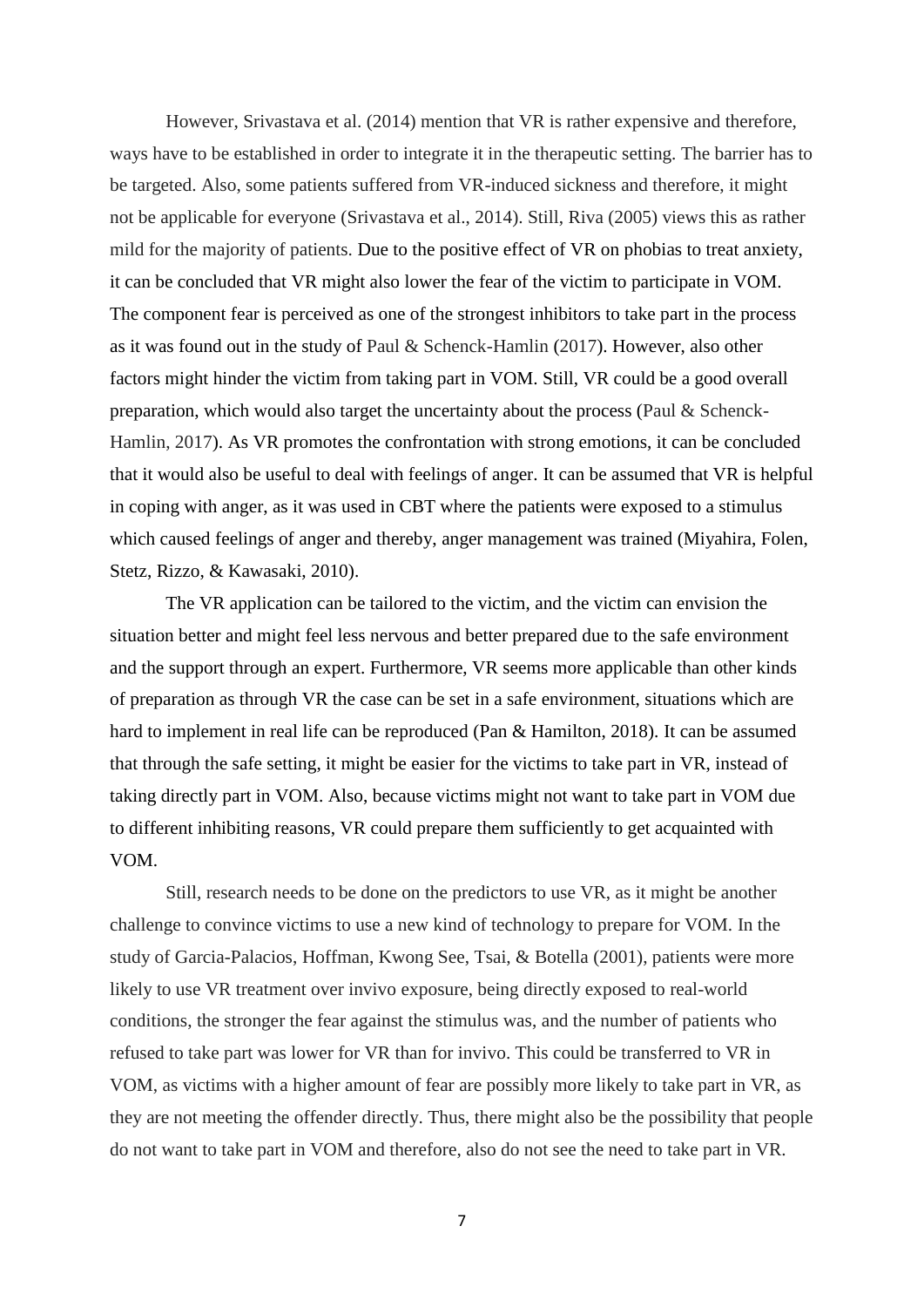However, Srivastava et al. (2014) mention that VR is rather expensive and therefore, ways have to be established in order to integrate it in the therapeutic setting. The barrier has to be targeted. Also, some patients suffered from VR-induced sickness and therefore, it might not be applicable for everyone (Srivastava et al., 2014). Still, Riva (2005) views this as rather mild for the majority of patients. Due to the positive effect of VR on phobias to treat anxiety, it can be concluded that VR might also lower the fear of the victim to participate in VOM. The component fear is perceived as one of the strongest inhibitors to take part in the process as it was found out in the study of Paul & Schenck-Hamlin (2017). However, also other factors might hinder the victim from taking part in VOM. Still, VR could be a good overall preparation, which would also target the uncertainty about the process (Paul & Schenck-Hamlin, 2017). As VR promotes the confrontation with strong emotions, it can be concluded that it would also be useful to deal with feelings of anger. It can be assumed that VR is helpful in coping with anger, as it was used in CBT where the patients were exposed to a stimulus which caused feelings of anger and thereby, anger management was trained (Miyahira, Folen, Stetz, Rizzo, & Kawasaki, 2010).

The VR application can be tailored to the victim, and the victim can envision the situation better and might feel less nervous and better prepared due to the safe environment and the support through an expert. Furthermore, VR seems more applicable than other kinds of preparation as through VR the case can be set in a safe environment, situations which are hard to implement in real life can be reproduced (Pan & Hamilton, 2018). It can be assumed that through the safe setting, it might be easier for the victims to take part in VR, instead of taking directly part in VOM. Also, because victims might not want to take part in VOM due to different inhibiting reasons, VR could prepare them sufficiently to get acquainted with VOM.

Still, research needs to be done on the predictors to use VR, as it might be another challenge to convince victims to use a new kind of technology to prepare for VOM. In the study of Garcia-Palacios, Hoffman, Kwong See, Tsai, & Botella (2001), patients were more likely to use VR treatment over invivo exposure, being directly exposed to real-world conditions, the stronger the fear against the stimulus was, and the number of patients who refused to take part was lower for VR than for invivo. This could be transferred to VR in VOM, as victims with a higher amount of fear are possibly more likely to take part in VR, as they are not meeting the offender directly. Thus, there might also be the possibility that people do not want to take part in VOM and therefore, also do not see the need to take part in VR.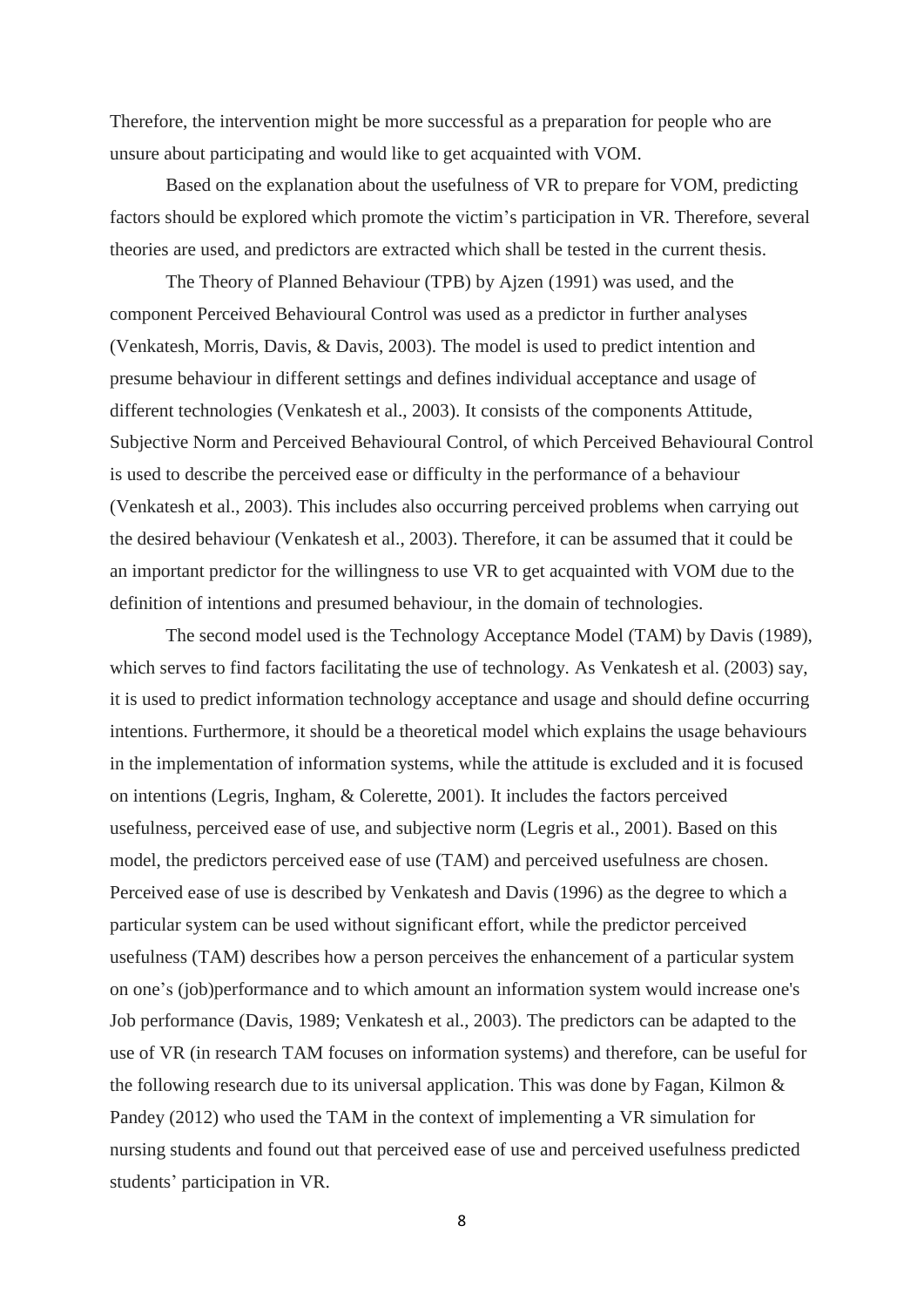Therefore, the intervention might be more successful as a preparation for people who are unsure about participating and would like to get acquainted with VOM.

Based on the explanation about the usefulness of VR to prepare for VOM, predicting factors should be explored which promote the victim's participation in VR. Therefore, several theories are used, and predictors are extracted which shall be tested in the current thesis.

The Theory of Planned Behaviour (TPB) by Ajzen (1991) was used, and the component Perceived Behavioural Control was used as a predictor in further analyses (Venkatesh, Morris, Davis, & Davis, 2003). The model is used to predict intention and presume behaviour in different settings and defines individual acceptance and usage of different technologies (Venkatesh et al., 2003). It consists of the components Attitude, Subjective Norm and Perceived Behavioural Control, of which Perceived Behavioural Control is used to describe the perceived ease or difficulty in the performance of a behaviour (Venkatesh et al., 2003). This includes also occurring perceived problems when carrying out the desired behaviour (Venkatesh et al., 2003). Therefore, it can be assumed that it could be an important predictor for the willingness to use VR to get acquainted with VOM due to the definition of intentions and presumed behaviour, in the domain of technologies.

The second model used is the Technology Acceptance Model (TAM) by Davis (1989), which serves to find factors facilitating the use of technology. As Venkatesh et al. (2003) say, it is used to predict information technology acceptance and usage and should define occurring intentions. Furthermore, it should be a theoretical model which explains the usage behaviours in the implementation of information systems, while the attitude is excluded and it is focused on intentions (Legris, Ingham, & Colerette, 2001). It includes the factors perceived usefulness, perceived ease of use, and subjective norm (Legris et al., 2001). Based on this model, the predictors perceived ease of use (TAM) and perceived usefulness are chosen. Perceived ease of use is described by Venkatesh and Davis (1996) as the degree to which a particular system can be used without significant effort, while the predictor perceived usefulness (TAM) describes how a person perceives the enhancement of a particular system on one's (job)performance and to which amount an information system would increase one's Job performance (Davis, 1989; Venkatesh et al., 2003). The predictors can be adapted to the use of VR (in research TAM focuses on information systems) and therefore, can be useful for the following research due to its universal application. This was done by Fagan, Kilmon & Pandey (2012) who used the TAM in the context of implementing a VR simulation for nursing students and found out that perceived ease of use and perceived usefulness predicted students' participation in VR.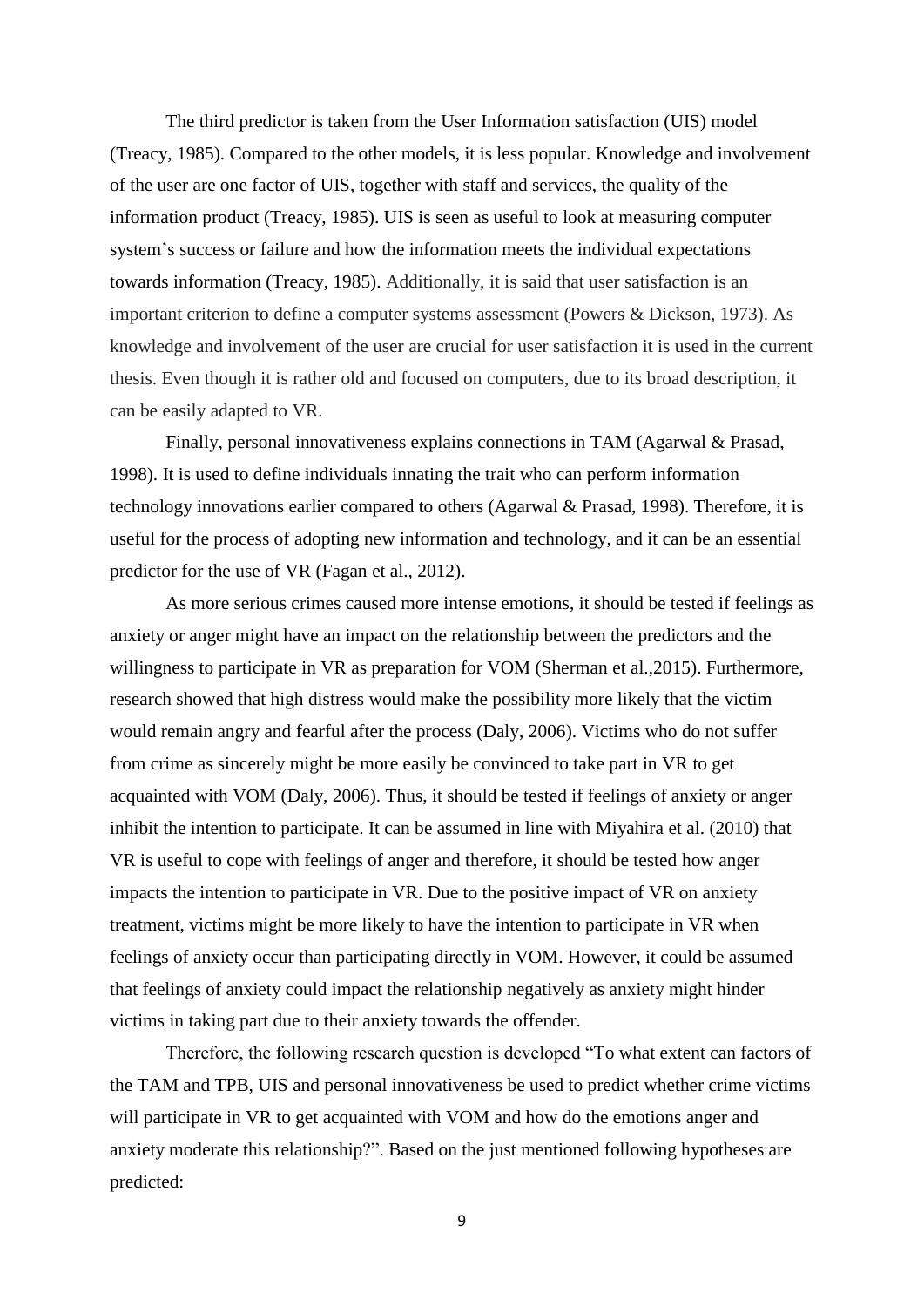The third predictor is taken from the User Information satisfaction (UIS) model (Treacy, 1985). Compared to the other models, it is less popular. Knowledge and involvement of the user are one factor of UIS, together with staff and services, the quality of the information product (Treacy, 1985). UIS is seen as useful to look at measuring computer system's success or failure and how the information meets the individual expectations towards information (Treacy, 1985). Additionally, it is said that user satisfaction is an important criterion to define a computer systems assessment (Powers & Dickson, 1973). As knowledge and involvement of the user are crucial for user satisfaction it is used in the current thesis. Even though it is rather old and focused on computers, due to its broad description, it can be easily adapted to VR.

Finally, personal innovativeness explains connections in TAM (Agarwal & Prasad, 1998). It is used to define individuals innating the trait who can perform information technology innovations earlier compared to others (Agarwal & Prasad, 1998). Therefore, it is useful for the process of adopting new information and technology, and it can be an essential predictor for the use of VR (Fagan et al., 2012).

As more serious crimes caused more intense emotions, it should be tested if feelings as anxiety or anger might have an impact on the relationship between the predictors and the willingness to participate in VR as preparation for VOM (Sherman et al., 2015). Furthermore, research showed that high distress would make the possibility more likely that the victim would remain angry and fearful after the process (Daly, 2006). Victims who do not suffer from crime as sincerely might be more easily be convinced to take part in VR to get acquainted with VOM (Daly, 2006). Thus, it should be tested if feelings of anxiety or anger inhibit the intention to participate. It can be assumed in line with Miyahira et al. (2010) that VR is useful to cope with feelings of anger and therefore, it should be tested how anger impacts the intention to participate in VR. Due to the positive impact of VR on anxiety treatment, victims might be more likely to have the intention to participate in VR when feelings of anxiety occur than participating directly in VOM. However, it could be assumed that feelings of anxiety could impact the relationship negatively as anxiety might hinder victims in taking part due to their anxiety towards the offender.

Therefore, the following research question is developed "To what extent can factors of the TAM and TPB, UIS and personal innovativeness be used to predict whether crime victims will participate in VR to get acquainted with VOM and how do the emotions anger and anxiety moderate this relationship?". Based on the just mentioned following hypotheses are predicted: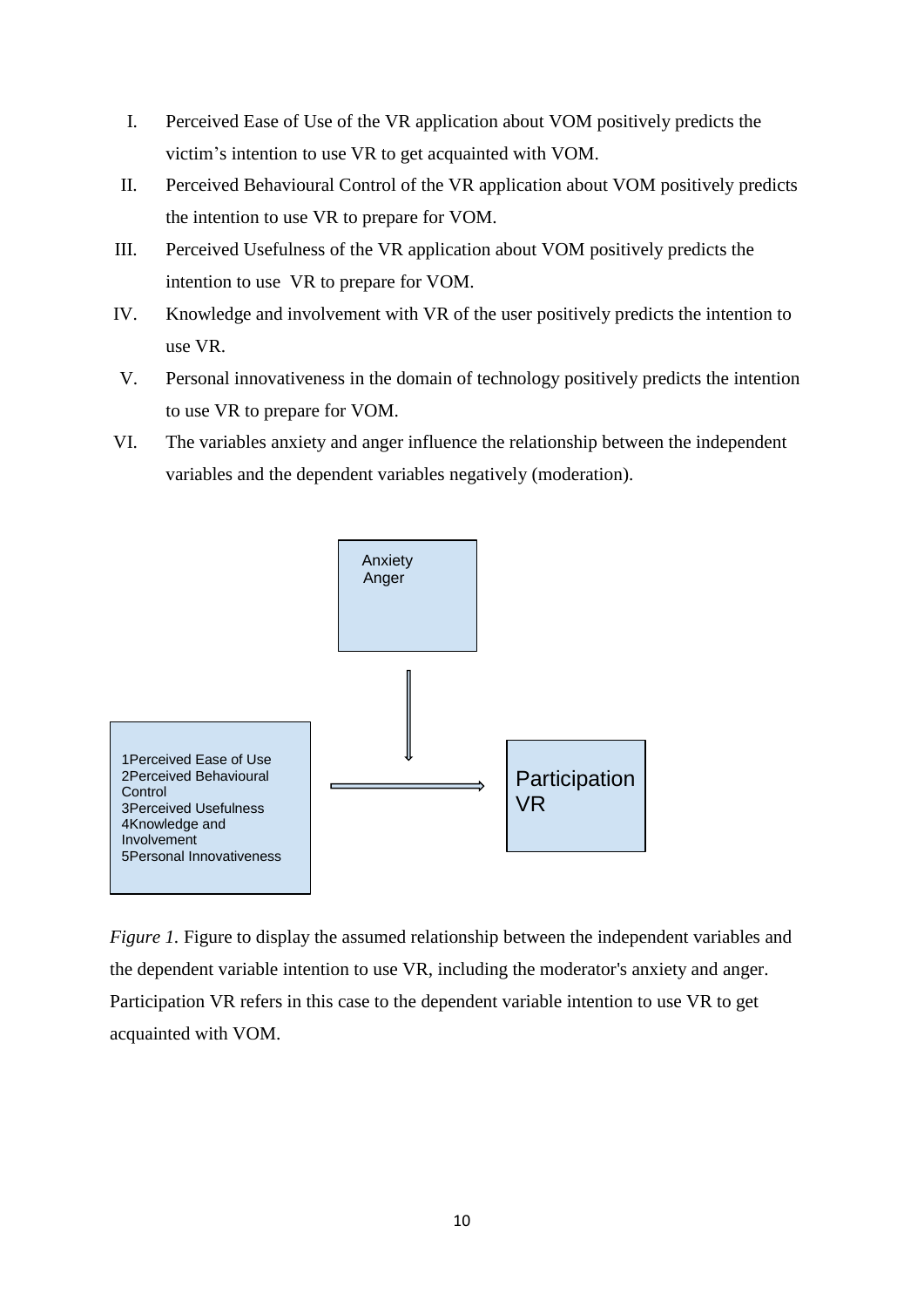- I. Perceived Ease of Use of the VR application about VOM positively predicts the victim's intention to use VR to get acquainted with VOM.
- II. Perceived Behavioural Control of the VR application about VOM positively predicts the intention to use VR to prepare for VOM.
- III. Perceived Usefulness of the VR application about VOM positively predicts the intention to use VR to prepare for VOM.
- IV. Knowledge and involvement with VR of the user positively predicts the intention to use VR.
- V. Personal innovativeness in the domain of technology positively predicts the intention to use VR to prepare for VOM.
- VI. The variables anxiety and anger influence the relationship between the independent variables and the dependent variables negatively (moderation).



*Figure 1*. Figure to display the assumed relationship between the independent variables and the dependent variable intention to use VR, including the moderator's anxiety and anger. Participation VR refers in this case to the dependent variable intention to use VR to get acquainted with VOM.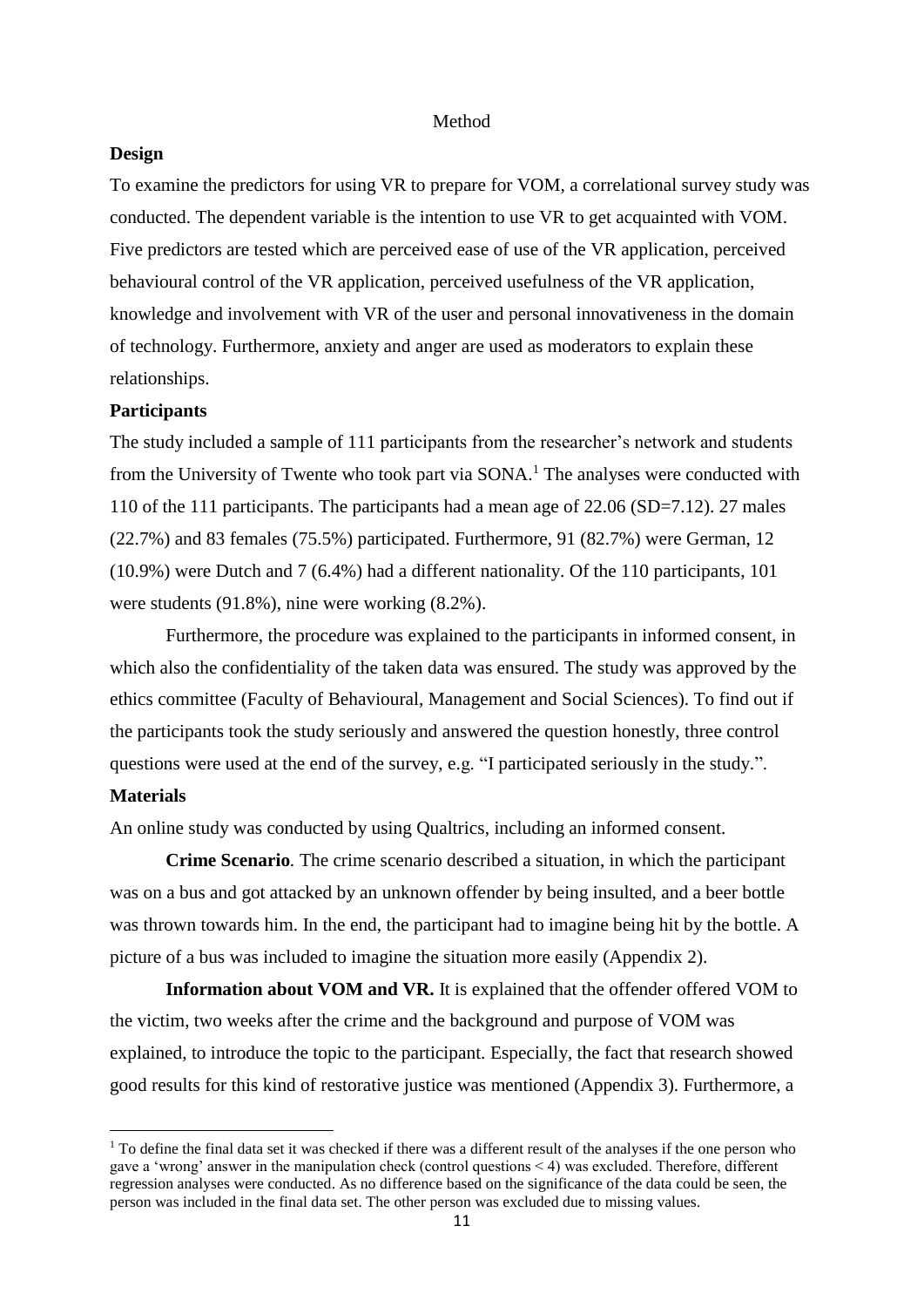#### Method

#### **Design**

To examine the predictors for using VR to prepare for VOM, a correlational survey study was conducted. The dependent variable is the intention to use VR to get acquainted with VOM. Five predictors are tested which are perceived ease of use of the VR application, perceived behavioural control of the VR application, perceived usefulness of the VR application, knowledge and involvement with VR of the user and personal innovativeness in the domain of technology. Furthermore, anxiety and anger are used as moderators to explain these relationships.

## **Participants**

The study included a sample of 111 participants from the researcher's network and students from the University of Twente who took part via  $SONA<sup>1</sup>$ . The analyses were conducted with 110 of the 111 participants. The participants had a mean age of 22.06 (SD=7.12). 27 males (22.7%) and 83 females (75.5%) participated. Furthermore, 91 (82.7%) were German, 12 (10.9%) were Dutch and 7 (6.4%) had a different nationality. Of the 110 participants, 101 were students (91.8%), nine were working (8.2%).

Furthermore, the procedure was explained to the participants in informed consent, in which also the confidentiality of the taken data was ensured. The study was approved by the ethics committee (Faculty of Behavioural, Management and Social Sciences). To find out if the participants took the study seriously and answered the question honestly, three control questions were used at the end of the survey, e.g. "I participated seriously in the study.".

## **Materials**

**.** 

An online study was conducted by using Qualtrics, including an informed consent.

**Crime Scenario***.* The crime scenario described a situation, in which the participant was on a bus and got attacked by an unknown offender by being insulted, and a beer bottle was thrown towards him. In the end, the participant had to imagine being hit by the bottle. A picture of a bus was included to imagine the situation more easily (Appendix 2).

**Information about VOM and VR.** It is explained that the offender offered VOM to the victim, two weeks after the crime and the background and purpose of VOM was explained, to introduce the topic to the participant. Especially, the fact that research showed good results for this kind of restorative justice was mentioned (Appendix 3). Furthermore, a

 $1$  To define the final data set it was checked if there was a different result of the analyses if the one person who gave a 'wrong' answer in the manipulation check (control questions < 4) was excluded. Therefore, different regression analyses were conducted. As no difference based on the significance of the data could be seen, the person was included in the final data set. The other person was excluded due to missing values.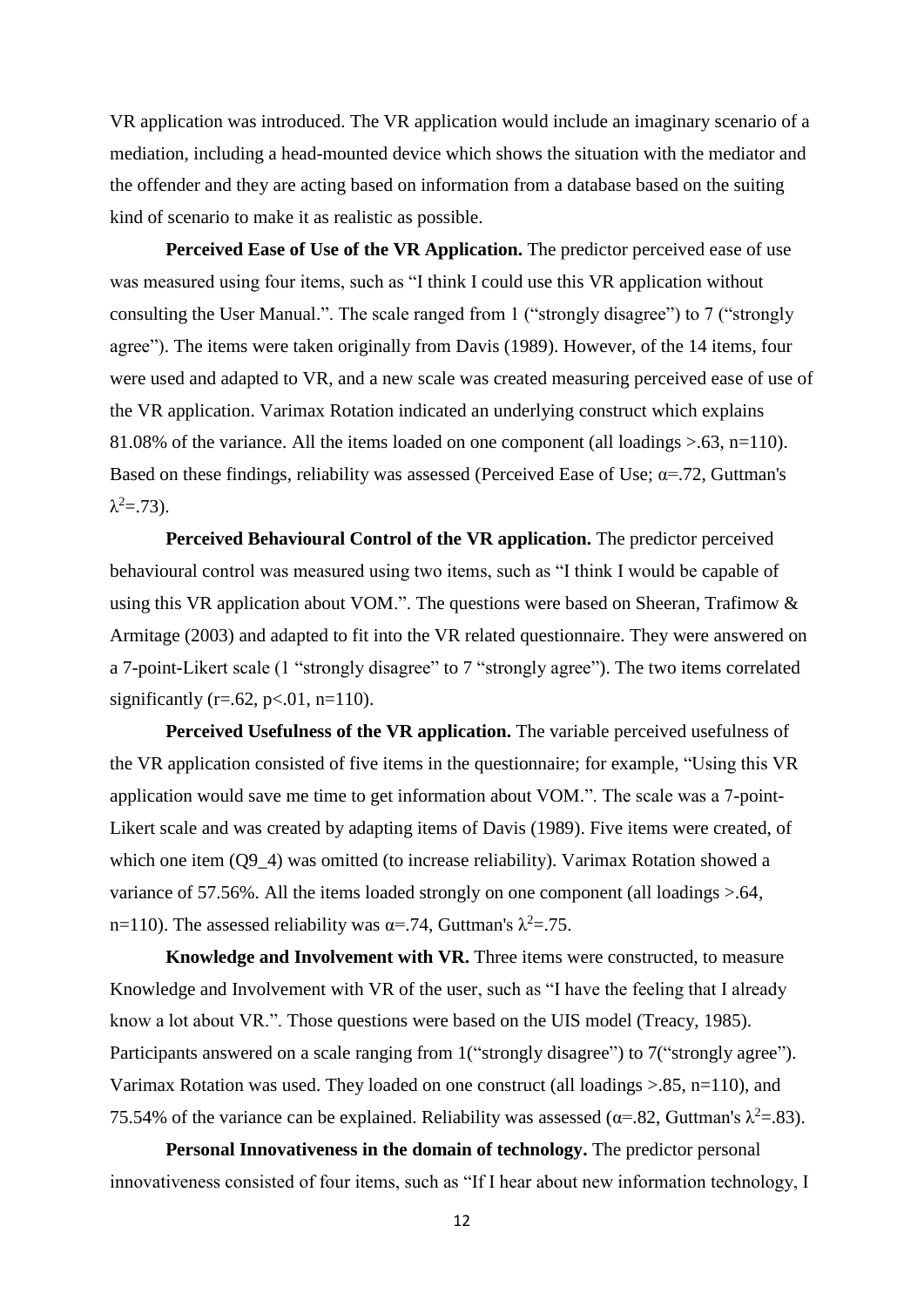VR application was introduced. The VR application would include an imaginary scenario of a mediation, including a head-mounted device which shows the situation with the mediator and the offender and they are acting based on information from a database based on the suiting kind of scenario to make it as realistic as possible.

**Perceived Ease of Use of the VR Application.** The predictor perceived ease of use was measured using four items, such as "I think I could use this VR application without consulting the User Manual.". The scale ranged from 1 ("strongly disagree") to 7 ("strongly agree"). The items were taken originally from Davis (1989). However, of the 14 items, four were used and adapted to VR, and a new scale was created measuring perceived ease of use of the VR application. Varimax Rotation indicated an underlying construct which explains 81.08% of the variance. All the items loaded on one component (all loadings >.63, n=110). Based on these findings, reliability was assessed (Perceived Ease of Use;  $\alpha$ =.72, Guttman's  $λ^2 = .73$ ).

**Perceived Behavioural Control of the VR application.** The predictor perceived behavioural control was measured using two items, such as "I think I would be capable of using this VR application about VOM.". The questions were based on Sheeran, Trafimow & Armitage (2003) and adapted to fit into the VR related questionnaire. They were answered on a 7-point-Likert scale (1 "strongly disagree" to 7 "strongly agree"). The two items correlated significantly (r=.62, p<.01, n=110).

**Perceived Usefulness of the VR application.** The variable perceived usefulness of the VR application consisted of five items in the questionnaire; for example, "Using this VR application would save me time to get information about VOM.". The scale was a 7-point-Likert scale and was created by adapting items of Davis (1989). Five items were created, of which one item (Q9–4) was omitted (to increase reliability). Varimax Rotation showed a variance of 57.56%. All the items loaded strongly on one component (all loadings  $> 64$ , n=110). The assessed reliability was  $\alpha$ =.74, Guttman's  $\lambda^2$ =.75.

**Knowledge and Involvement with VR.** Three items were constructed, to measure Knowledge and Involvement with VR of the user, such as "I have the feeling that I already know a lot about VR.". Those questions were based on the UIS model (Treacy, 1985). Participants answered on a scale ranging from 1 ("strongly disagree") to 7 ("strongly agree"). Varimax Rotation was used. They loaded on one construct (all loadings  $> 0.85$ , n=110), and 75.54% of the variance can be explained. Reliability was assessed ( $\alpha$ =.82, Guttman's  $\lambda^2$ =.83).

**Personal Innovativeness in the domain of technology.** The predictor personal innovativeness consisted of four items, such as "If I hear about new information technology, I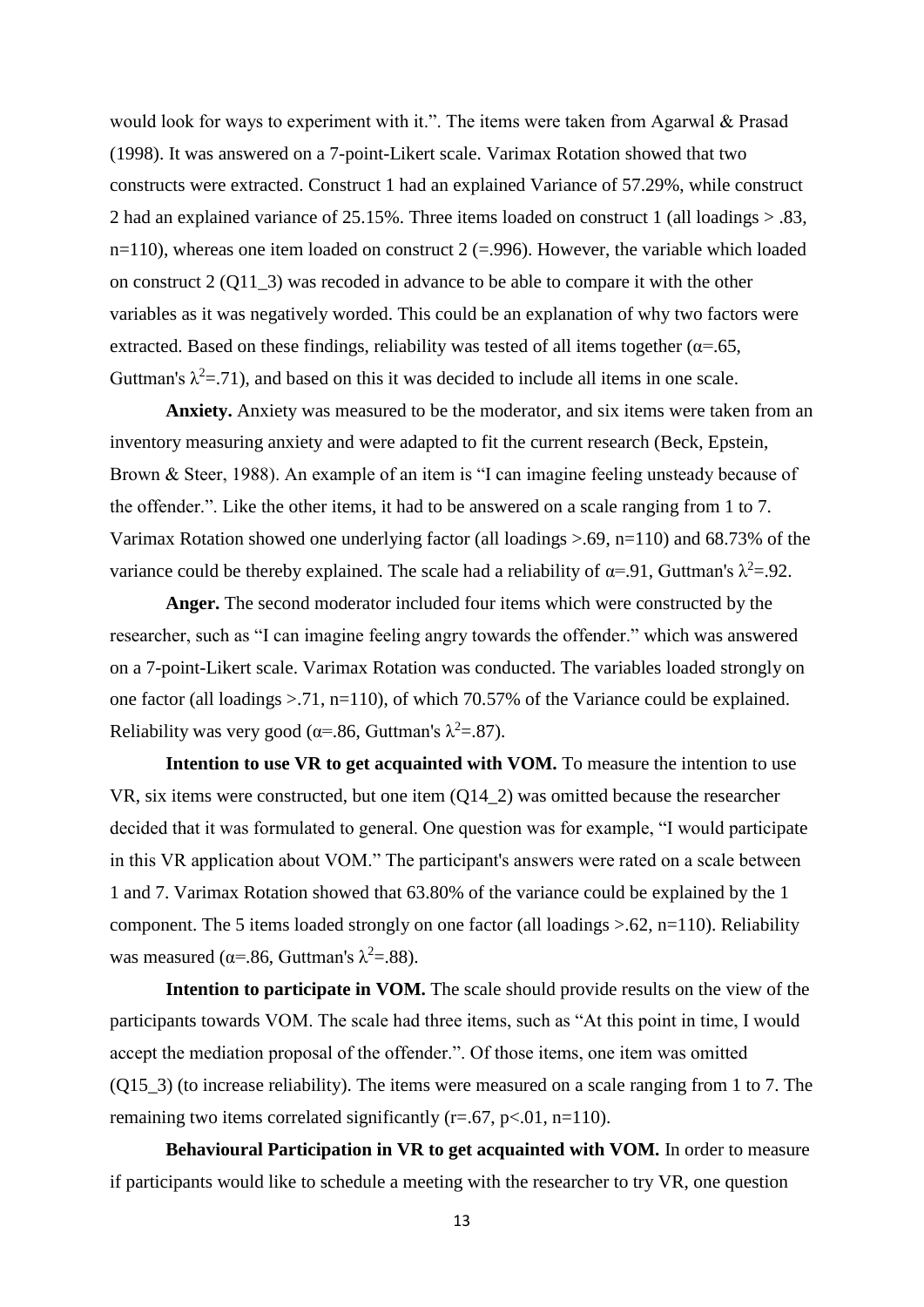would look for ways to experiment with it.". The items were taken from Agarwal & Prasad (1998). It was answered on a 7-point-Likert scale. Varimax Rotation showed that two constructs were extracted. Construct 1 had an explained Variance of 57.29%, while construct 2 had an explained variance of 25.15%. Three items loaded on construct 1 (all loadings > .83,  $n=110$ ), whereas one item loaded on construct 2 (=.996). However, the variable which loaded on construct 2 (Q11\_3) was recoded in advance to be able to compare it with the other variables as it was negatively worded. This could be an explanation of why two factors were extracted. Based on these findings, reliability was tested of all items together ( $\alpha$ =.65, Guttman's  $\lambda^2 = 71$ ), and based on this it was decided to include all items in one scale.

**Anxiety.** Anxiety was measured to be the moderator, and six items were taken from an inventory measuring anxiety and were adapted to fit the current research (Beck, Epstein, Brown & Steer, 1988). An example of an item is "I can imagine feeling unsteady because of the offender.". Like the other items, it had to be answered on a scale ranging from 1 to 7. Varimax Rotation showed one underlying factor (all loadings  $> 0.69$ , n=110) and 68.73% of the variance could be thereby explained. The scale had a reliability of  $\alpha$ =.91, Guttman's  $\lambda^2$ =.92.

**Anger.** The second moderator included four items which were constructed by the researcher, such as "I can imagine feeling angry towards the offender." which was answered on a 7-point-Likert scale. Varimax Rotation was conducted. The variables loaded strongly on one factor (all loadings >.71, n=110), of which 70.57% of the Variance could be explained. Reliability was very good ( $\alpha$ =.86, Guttman's  $\lambda$ <sup>2</sup>=.87).

**Intention to use VR to get acquainted with VOM.** To measure the intention to use VR, six items were constructed, but one item (Q14\_2) was omitted because the researcher decided that it was formulated to general. One question was for example, "I would participate in this VR application about VOM." The participant's answers were rated on a scale between 1 and 7. Varimax Rotation showed that 63.80% of the variance could be explained by the 1 component. The 5 items loaded strongly on one factor (all loadings  $> 62$ , n=110). Reliability was measured ( $\alpha$ =.86, Guttman's  $\lambda$ <sup>2</sup>=.88).

**Intention to participate in VOM.** The scale should provide results on the view of the participants towards VOM. The scale had three items, such as "At this point in time, I would accept the mediation proposal of the offender.". Of those items, one item was omitted (Q15\_3) (to increase reliability). The items were measured on a scale ranging from 1 to 7. The remaining two items correlated significantly  $(r=.67, p<.01, n=110)$ .

**Behavioural Participation in VR to get acquainted with VOM.** In order to measure if participants would like to schedule a meeting with the researcher to try VR, one question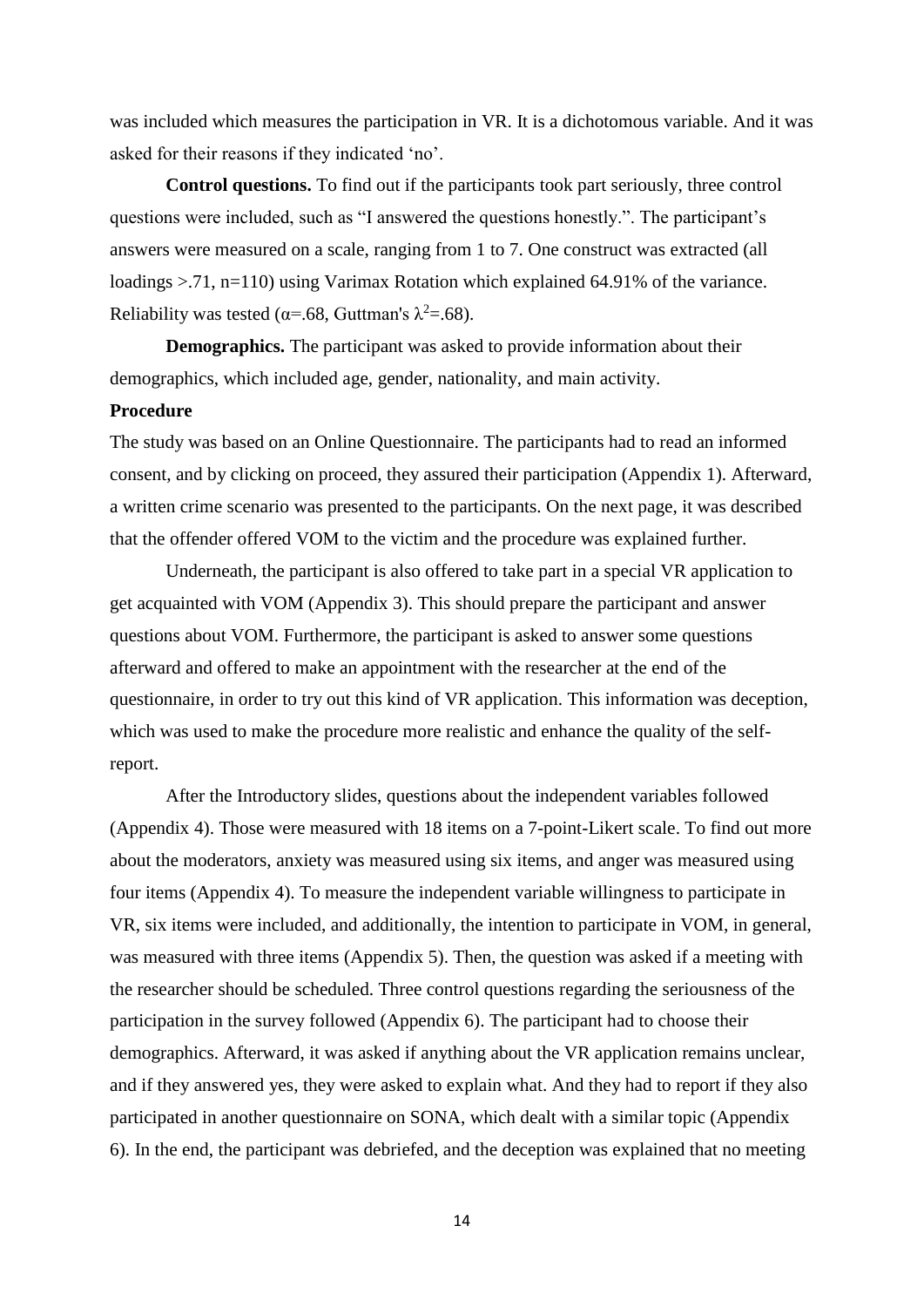was included which measures the participation in VR. It is a dichotomous variable. And it was asked for their reasons if they indicated 'no'.

**Control questions.** To find out if the participants took part seriously, three control questions were included, such as "I answered the questions honestly.". The participant's answers were measured on a scale, ranging from 1 to 7. One construct was extracted (all loadings >.71, n=110) using Varimax Rotation which explained 64.91% of the variance. Reliability was tested ( $\alpha$ =.68, Guttman's  $\lambda$ <sup>2</sup>=.68).

**Demographics.** The participant was asked to provide information about their demographics, which included age, gender, nationality, and main activity.

## **Procedure**

The study was based on an Online Questionnaire. The participants had to read an informed consent, and by clicking on proceed, they assured their participation (Appendix 1). Afterward, a written crime scenario was presented to the participants. On the next page, it was described that the offender offered VOM to the victim and the procedure was explained further.

Underneath, the participant is also offered to take part in a special VR application to get acquainted with VOM (Appendix 3). This should prepare the participant and answer questions about VOM. Furthermore, the participant is asked to answer some questions afterward and offered to make an appointment with the researcher at the end of the questionnaire, in order to try out this kind of VR application. This information was deception, which was used to make the procedure more realistic and enhance the quality of the selfreport.

After the Introductory slides, questions about the independent variables followed (Appendix 4). Those were measured with 18 items on a 7-point-Likert scale. To find out more about the moderators, anxiety was measured using six items, and anger was measured using four items (Appendix 4). To measure the independent variable willingness to participate in VR, six items were included, and additionally, the intention to participate in VOM, in general, was measured with three items (Appendix 5). Then, the question was asked if a meeting with the researcher should be scheduled. Three control questions regarding the seriousness of the participation in the survey followed (Appendix 6). The participant had to choose their demographics. Afterward, it was asked if anything about the VR application remains unclear, and if they answered yes, they were asked to explain what. And they had to report if they also participated in another questionnaire on SONA, which dealt with a similar topic (Appendix 6). In the end, the participant was debriefed, and the deception was explained that no meeting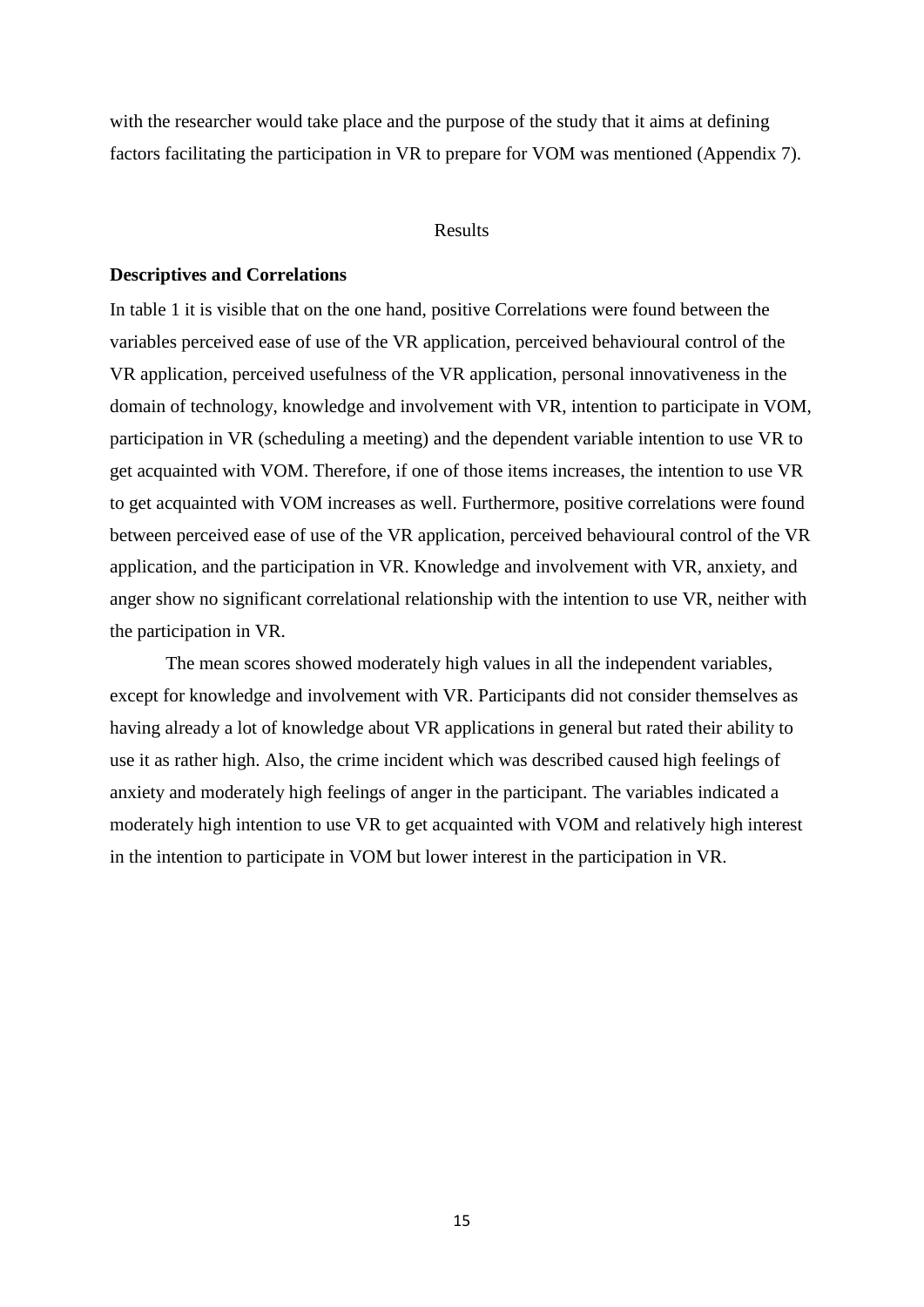with the researcher would take place and the purpose of the study that it aims at defining factors facilitating the participation in VR to prepare for VOM was mentioned (Appendix 7).

## Results

#### **Descriptives and Correlations**

In table 1 it is visible that on the one hand, positive Correlations were found between the variables perceived ease of use of the VR application, perceived behavioural control of the VR application, perceived usefulness of the VR application, personal innovativeness in the domain of technology, knowledge and involvement with VR, intention to participate in VOM, participation in VR (scheduling a meeting) and the dependent variable intention to use VR to get acquainted with VOM. Therefore, if one of those items increases, the intention to use VR to get acquainted with VOM increases as well. Furthermore, positive correlations were found between perceived ease of use of the VR application, perceived behavioural control of the VR application, and the participation in VR. Knowledge and involvement with VR, anxiety, and anger show no significant correlational relationship with the intention to use VR, neither with the participation in VR.

The mean scores showed moderately high values in all the independent variables, except for knowledge and involvement with VR. Participants did not consider themselves as having already a lot of knowledge about VR applications in general but rated their ability to use it as rather high. Also, the crime incident which was described caused high feelings of anxiety and moderately high feelings of anger in the participant. The variables indicated a moderately high intention to use VR to get acquainted with VOM and relatively high interest in the intention to participate in VOM but lower interest in the participation in VR.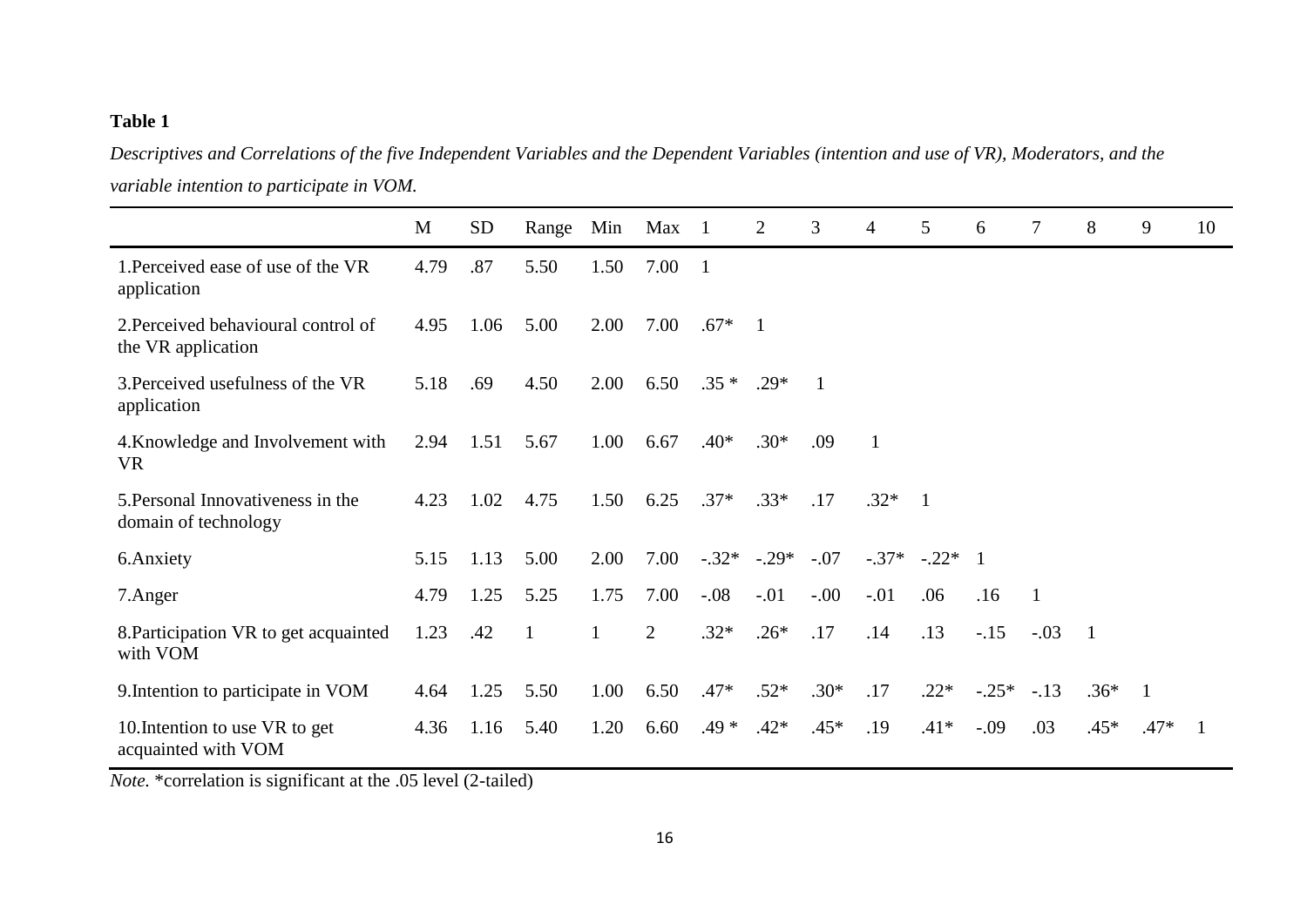# **Table 1**

*Descriptives and Correlations of the five Independent Variables and the Dependent Variables (intention and use of VR), Moderators, and the variable intention to participate in VOM.*

|                                                           | M    | <b>SD</b> | Range | Min          | Max            | - 1            | 2            | 3            | 4              | 5              | 6       | 7            | 8              | 9              | 10 |
|-----------------------------------------------------------|------|-----------|-------|--------------|----------------|----------------|--------------|--------------|----------------|----------------|---------|--------------|----------------|----------------|----|
| 1. Perceived ease of use of the VR<br>application         | 4.79 | .87       | 5.50  | 1.50         | 7.00           | $\overline{1}$ |              |              |                |                |         |              |                |                |    |
| 2. Perceived behavioural control of<br>the VR application | 4.95 | 1.06      | 5.00  | 2.00         | 7.00           | $.67*$         | $\mathbf{1}$ |              |                |                |         |              |                |                |    |
| 3. Perceived usefulness of the VR<br>application          | 5.18 | .69       | 4.50  | 2.00         | 6.50           | $.35*$         | $.29*$       | $\mathbf{1}$ |                |                |         |              |                |                |    |
| 4. Knowledge and Involvement with<br><b>VR</b>            | 2.94 | 1.51      | 5.67  | 1.00         | 6.67           | $.40*$         | $.30*$       | .09          | $\overline{1}$ |                |         |              |                |                |    |
| 5. Personal Innovativeness in the<br>domain of technology | 4.23 | 1.02      | 4.75  | 1.50         | 6.25           | $.37*$         | $.33*$       | .17          | $.32*$         | $\overline{1}$ |         |              |                |                |    |
| 6. Anxiety                                                | 5.15 | 1.13      | 5.00  | 2.00         | 7.00           | $-.32*$        | $-.29*$      | $-.07$       | $-.37*$        | $-.22*1$       |         |              |                |                |    |
| 7.Anger                                                   | 4.79 | 1.25      | 5.25  | 1.75         | 7.00           | $-.08$         | $-.01$       | $-0.00$      | $-.01$         | .06            | .16     | $\mathbf{1}$ |                |                |    |
| 8. Participation VR to get acquainted<br>with VOM         | 1.23 | .42       | -1    | $\mathbf{1}$ | $\overline{2}$ | $.32*$         | $.26*$       | .17          | .14            | .13            | $-15$   | $-.03$       | $\overline{1}$ |                |    |
| 9. Intention to participate in VOM                        | 4.64 | 1.25      | 5.50  | 1.00         | 6.50           | $.47*$         | $.52*$       | $.30*$       | .17            | $.22*$         | $-.25*$ | $-.13$       | $.36*$         | $\overline{1}$ |    |
| 10. Intention to use VR to get<br>acquainted with VOM     | 4.36 | 1.16      | 5.40  | 1.20         | 6.60           | $.49*$         | $.42*$       | $.45*$       | .19            | $.41*$         | $-.09$  | .03          | $.45*$         | $.47*$         | -1 |

*Note.* \*correlation is significant at the .05 level (2-tailed)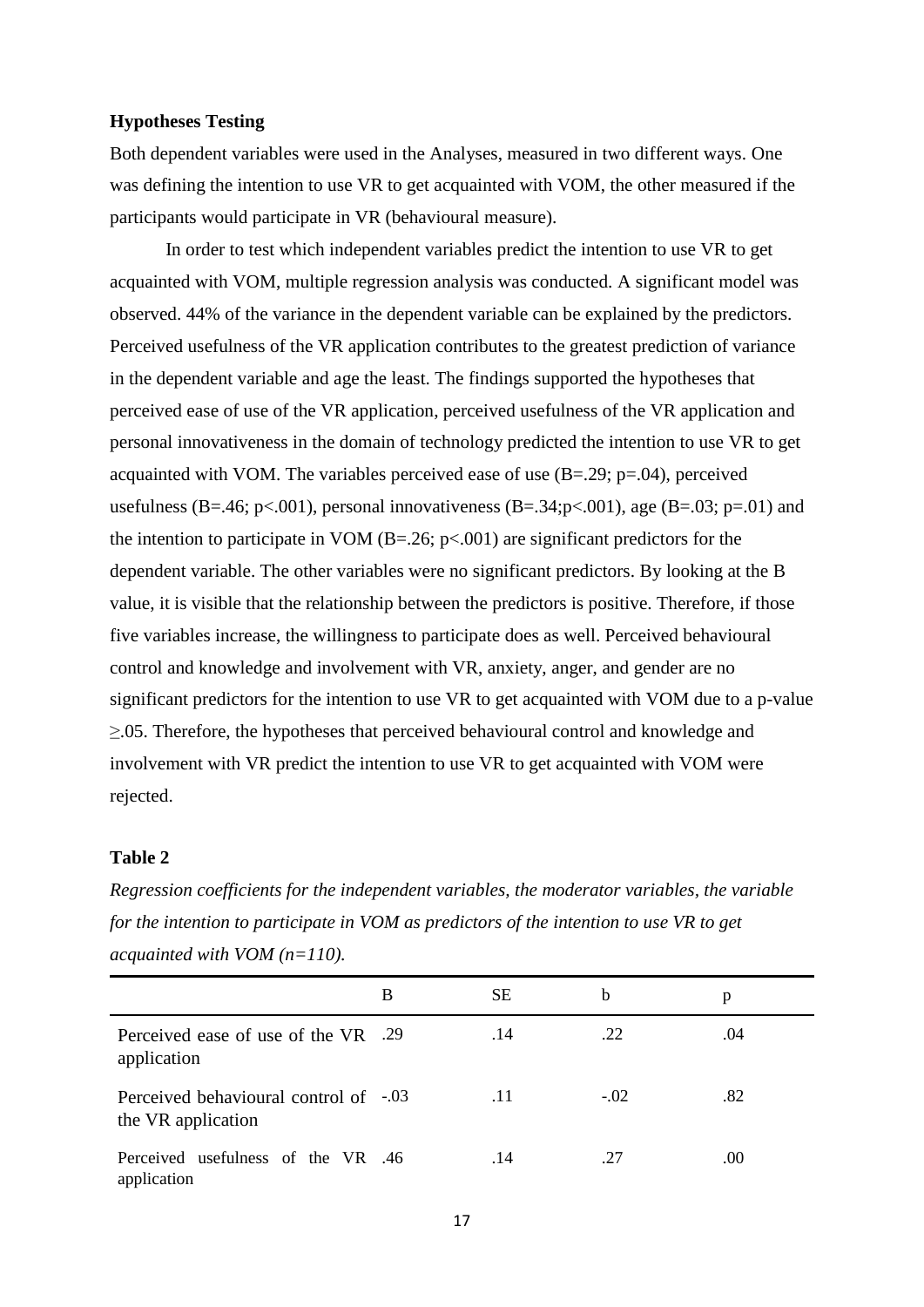## **Hypotheses Testing**

Both dependent variables were used in the Analyses, measured in two different ways. One was defining the intention to use VR to get acquainted with VOM, the other measured if the participants would participate in VR (behavioural measure).

In order to test which independent variables predict the intention to use VR to get acquainted with VOM, multiple regression analysis was conducted. A significant model was observed. 44% of the variance in the dependent variable can be explained by the predictors. Perceived usefulness of the VR application contributes to the greatest prediction of variance in the dependent variable and age the least. The findings supported the hypotheses that perceived ease of use of the VR application, perceived usefulness of the VR application and personal innovativeness in the domain of technology predicted the intention to use VR to get acquainted with VOM. The variables perceived ease of use  $(B=.29; p=.04)$ , perceived usefulness (B=.46; p<.001), personal innovativeness (B=.34; p<.001), age (B=.03; p=.01) and the intention to participate in VOM  $(B=.26; p<.001)$  are significant predictors for the dependent variable. The other variables were no significant predictors. By looking at the B value, it is visible that the relationship between the predictors is positive. Therefore, if those five variables increase, the willingness to participate does as well. Perceived behavioural control and knowledge and involvement with VR, anxiety, anger, and gender are no significant predictors for the intention to use VR to get acquainted with VOM due to a p-value ≥.05. Therefore, the hypotheses that perceived behavioural control and knowledge and involvement with VR predict the intention to use VR to get acquainted with VOM were rejected.

## **Table 2**

|                                                             | B | <b>SE</b> | b      | p   |
|-------------------------------------------------------------|---|-----------|--------|-----|
| Perceived ease of use of the VR .29<br>application          |   | .14       | .22    | .04 |
| Perceived behavioural control of -.03<br>the VR application |   | .11       | $-.02$ | .82 |
| Perceived usefulness of the VR .46<br>application           |   | .14       | .27    | .00 |

*Regression coefficients for the independent variables, the moderator variables, the variable for the intention to participate in VOM as predictors of the intention to use VR to get acquainted with VOM (n=110).*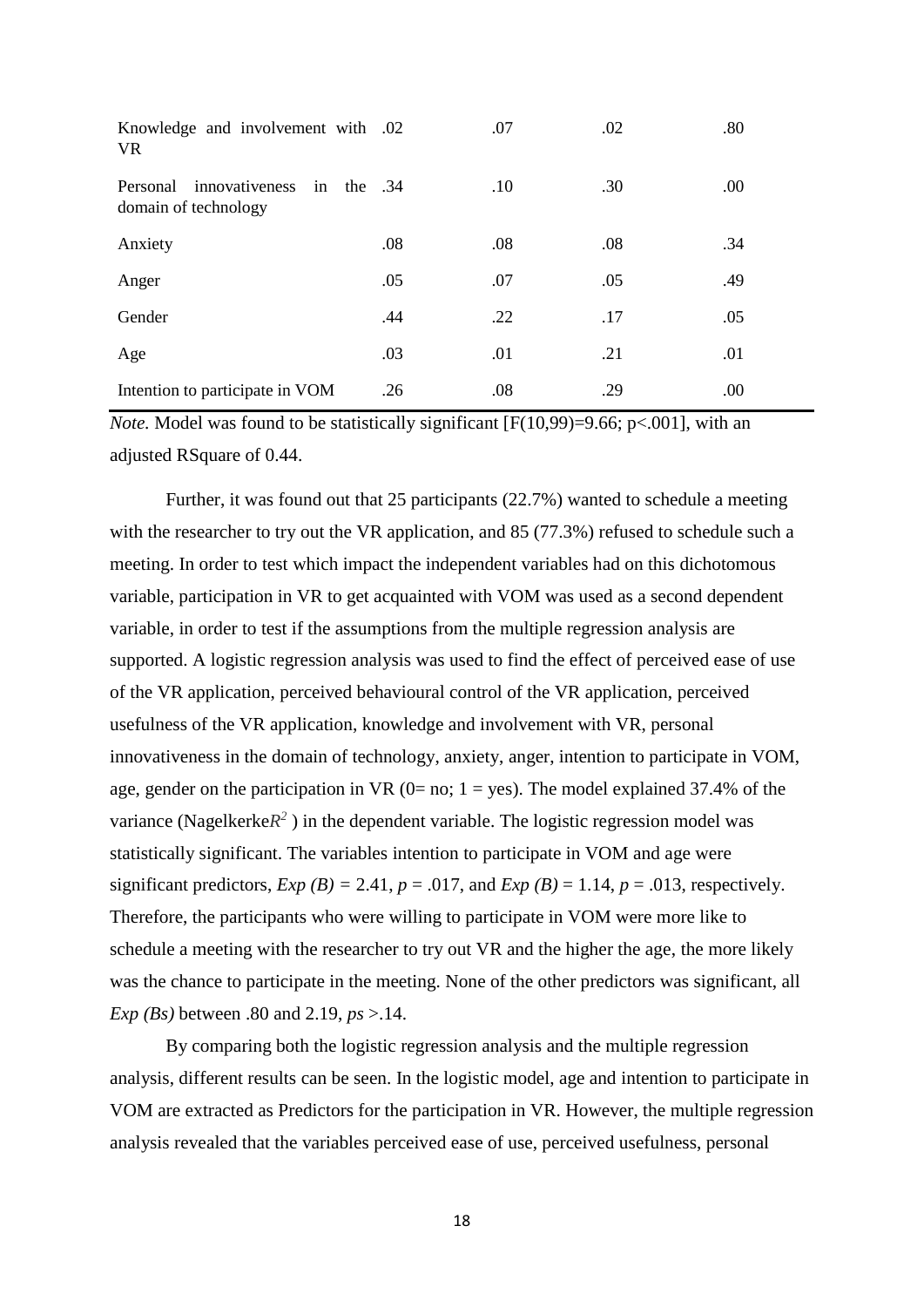| Knowledge and involvement with .02<br><b>VR</b>                       |     | .07 | .02 | .80 |
|-----------------------------------------------------------------------|-----|-----|-----|-----|
| innovativeness<br>in<br>Personal<br>the $.34$<br>domain of technology |     | .10 | .30 | .00 |
| Anxiety                                                               | .08 | .08 | .08 | .34 |
| Anger                                                                 | .05 | .07 | .05 | .49 |
| Gender                                                                | .44 | .22 | .17 | .05 |
| Age                                                                   | .03 | .01 | .21 | .01 |
| Intention to participate in VOM                                       | .26 | .08 | .29 | .00 |

*Note.* Model was found to be statistically significant [ $F(10,99) = 9.66$ ;  $p < .001$ ], with an adjusted RSquare of 0.44.

Further, it was found out that 25 participants (22.7%) wanted to schedule a meeting with the researcher to try out the VR application, and 85 (77.3%) refused to schedule such a meeting. In order to test which impact the independent variables had on this dichotomous variable, participation in VR to get acquainted with VOM was used as a second dependent variable, in order to test if the assumptions from the multiple regression analysis are supported. A logistic regression analysis was used to find the effect of perceived ease of use of the VR application, perceived behavioural control of the VR application, perceived usefulness of the VR application, knowledge and involvement with VR, personal innovativeness in the domain of technology, anxiety, anger, intention to participate in VOM, age, gender on the participation in VR ( $0=$  no;  $1=$  yes). The model explained 37.4% of the variance (Nagelkerke $R^2$ ) in the dependent variable. The logistic regression model was statistically significant. The variables intention to participate in VOM and age were significant predictors,  $Exp(B) = 2.41$ ,  $p = .017$ , and  $Exp(B) = 1.14$ ,  $p = .013$ , respectively. Therefore, the participants who were willing to participate in VOM were more like to schedule a meeting with the researcher to try out VR and the higher the age, the more likely was the chance to participate in the meeting. None of the other predictors was significant, all *Exp (Bs)* between .80 and 2.19, *ps* >.14.

By comparing both the logistic regression analysis and the multiple regression analysis, different results can be seen. In the logistic model, age and intention to participate in VOM are extracted as Predictors for the participation in VR. However, the multiple regression analysis revealed that the variables perceived ease of use, perceived usefulness, personal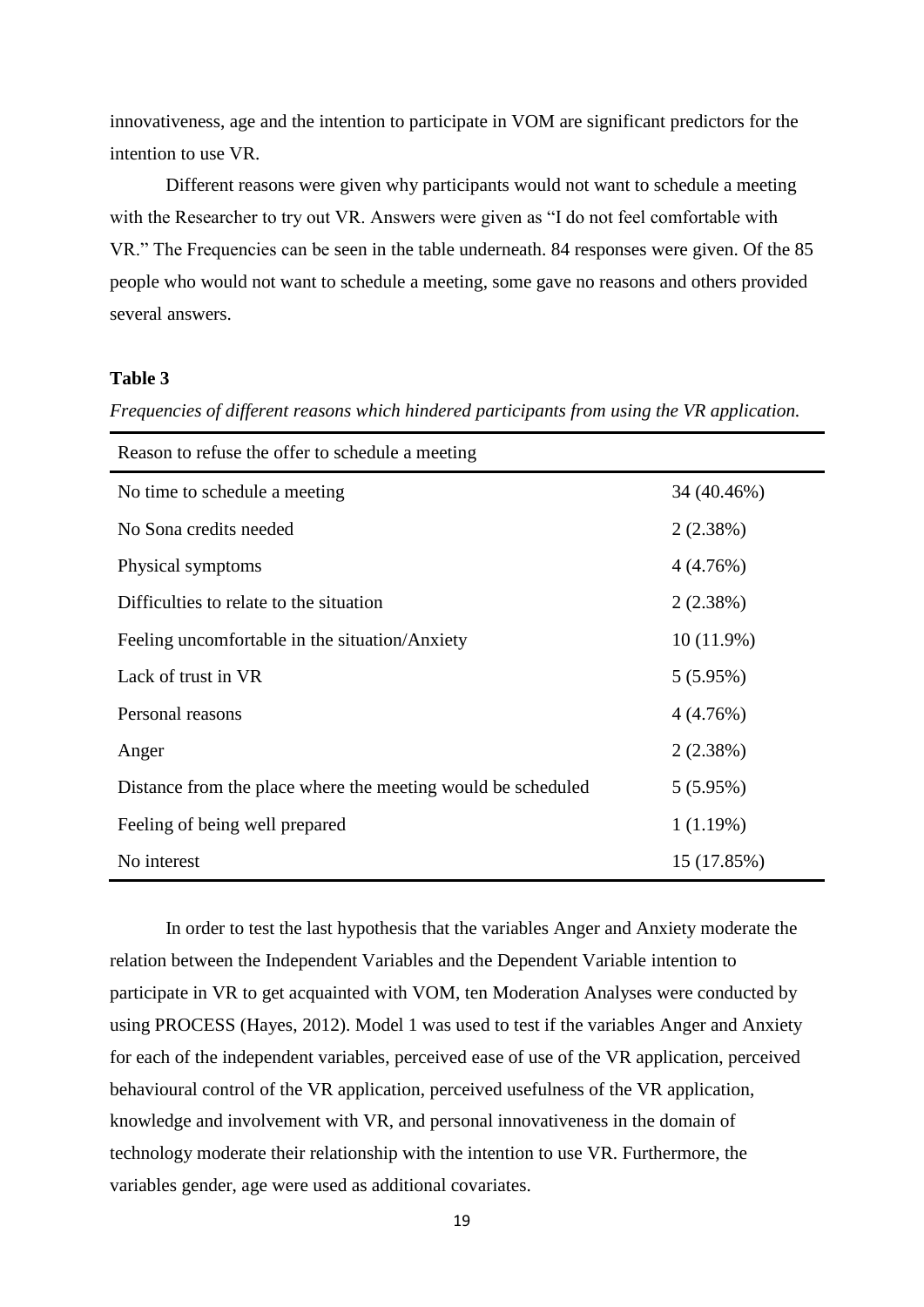innovativeness, age and the intention to participate in VOM are significant predictors for the intention to use VR.

Different reasons were given why participants would not want to schedule a meeting with the Researcher to try out VR. Answers were given as "I do not feel comfortable with VR." The Frequencies can be seen in the table underneath. 84 responses were given. Of the 85 people who would not want to schedule a meeting, some gave no reasons and others provided several answers.

## **Table 3**

*Frequencies of different reasons which hindered participants from using the VR application.* 

| Reason to refuse the offer to schedule a meeting             |              |  |  |  |  |
|--------------------------------------------------------------|--------------|--|--|--|--|
| No time to schedule a meeting                                | 34 (40.46%)  |  |  |  |  |
| No Sona credits needed                                       | 2(2.38%)     |  |  |  |  |
| Physical symptoms                                            | 4(4.76%)     |  |  |  |  |
| Difficulties to relate to the situation                      | 2(2.38%)     |  |  |  |  |
| Feeling uncomfortable in the situation/Anxiety               | $10(11.9\%)$ |  |  |  |  |
| Lack of trust in VR                                          | $5(5.95\%)$  |  |  |  |  |
| Personal reasons                                             | 4(4.76%)     |  |  |  |  |
| Anger                                                        | 2(2.38%)     |  |  |  |  |
| Distance from the place where the meeting would be scheduled | $5(5.95\%)$  |  |  |  |  |
| Feeling of being well prepared                               | 1(1.19%)     |  |  |  |  |
| No interest                                                  | 15 (17.85%)  |  |  |  |  |

In order to test the last hypothesis that the variables Anger and Anxiety moderate the relation between the Independent Variables and the Dependent Variable intention to participate in VR to get acquainted with VOM, ten Moderation Analyses were conducted by using PROCESS (Hayes, 2012). Model 1 was used to test if the variables Anger and Anxiety for each of the independent variables, perceived ease of use of the VR application, perceived behavioural control of the VR application, perceived usefulness of the VR application, knowledge and involvement with VR, and personal innovativeness in the domain of technology moderate their relationship with the intention to use VR. Furthermore, the variables gender, age were used as additional covariates.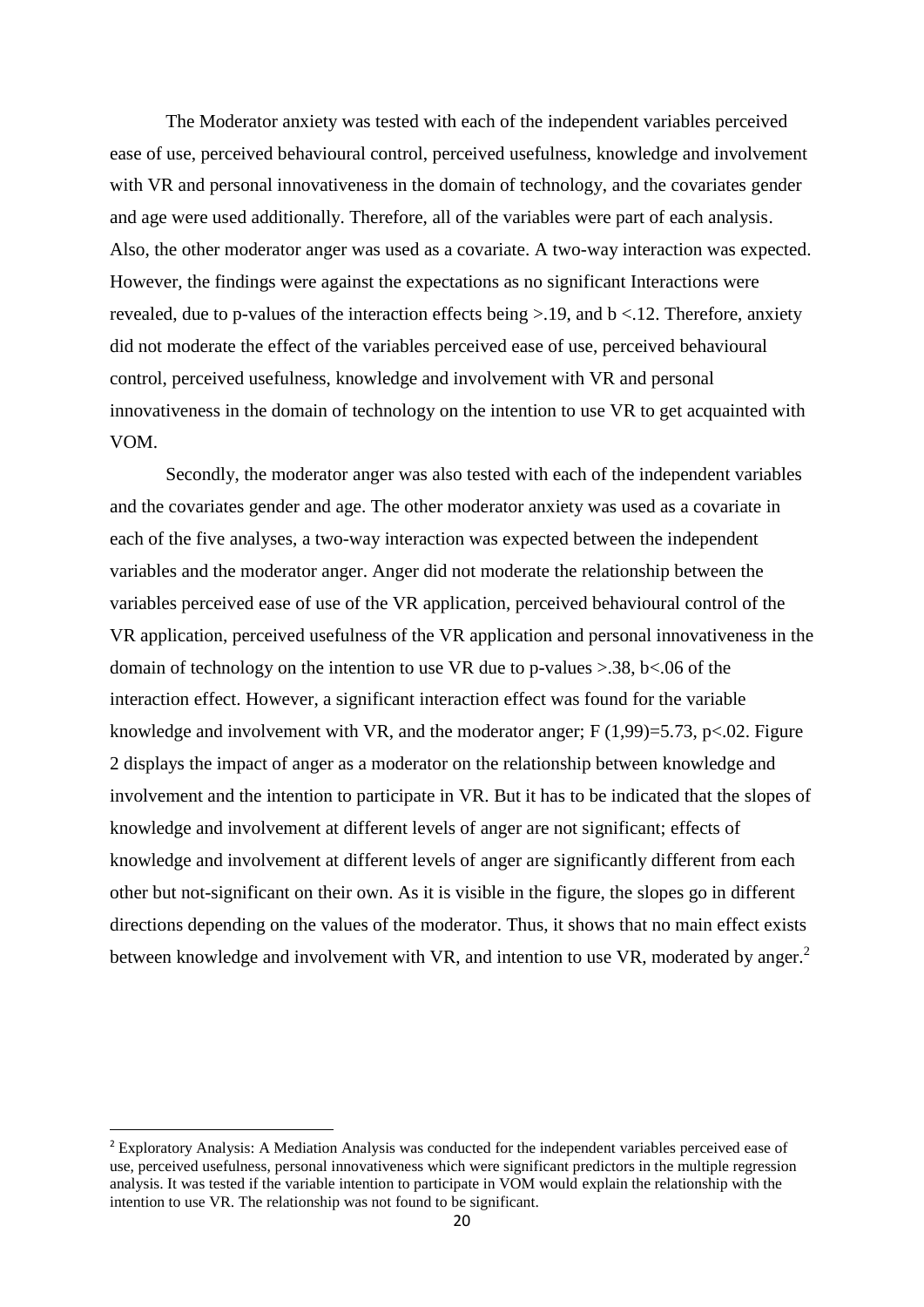The Moderator anxiety was tested with each of the independent variables perceived ease of use, perceived behavioural control, perceived usefulness, knowledge and involvement with VR and personal innovativeness in the domain of technology, and the covariates gender and age were used additionally. Therefore, all of the variables were part of each analysis. Also, the other moderator anger was used as a covariate. A two-way interaction was expected. However, the findings were against the expectations as no significant Interactions were revealed, due to p-values of the interaction effects being >.19, and b <.12. Therefore, anxiety did not moderate the effect of the variables perceived ease of use, perceived behavioural control, perceived usefulness, knowledge and involvement with VR and personal innovativeness in the domain of technology on the intention to use VR to get acquainted with VOM.

Secondly, the moderator anger was also tested with each of the independent variables and the covariates gender and age. The other moderator anxiety was used as a covariate in each of the five analyses, a two-way interaction was expected between the independent variables and the moderator anger. Anger did not moderate the relationship between the variables perceived ease of use of the VR application, perceived behavioural control of the VR application, perceived usefulness of the VR application and personal innovativeness in the domain of technology on the intention to use VR due to p-values  $> 0.38$ , b<.06 of the interaction effect. However, a significant interaction effect was found for the variable knowledge and involvement with VR, and the moderator anger;  $F(1,99)=5.73$ ,  $p<.02$ . Figure 2 displays the impact of anger as a moderator on the relationship between knowledge and involvement and the intention to participate in VR. But it has to be indicated that the slopes of knowledge and involvement at different levels of anger are not significant; effects of knowledge and involvement at different levels of anger are significantly different from each other but not-significant on their own. As it is visible in the figure, the slopes go in different directions depending on the values of the moderator. Thus, it shows that no main effect exists between knowledge and involvement with VR, and intention to use VR, moderated by anger.<sup>2</sup>

**.** 

<sup>2</sup> Exploratory Analysis: A Mediation Analysis was conducted for the independent variables perceived ease of use, perceived usefulness, personal innovativeness which were significant predictors in the multiple regression analysis. It was tested if the variable intention to participate in VOM would explain the relationship with the intention to use VR. The relationship was not found to be significant.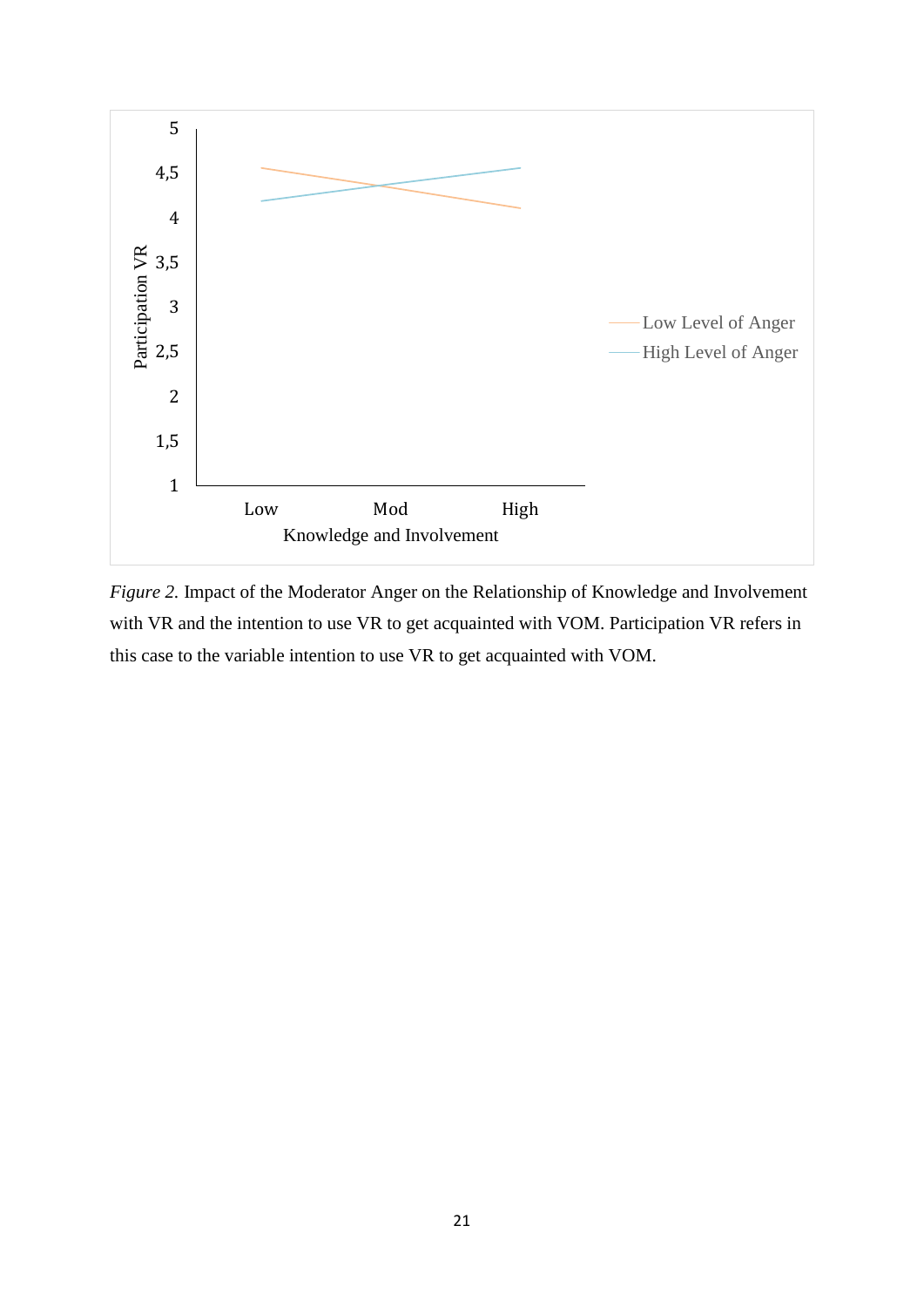

*Figure 2.* Impact of the Moderator Anger on the Relationship of Knowledge and Involvement with VR and the intention to use VR to get acquainted with VOM. Participation VR refers in this case to the variable intention to use VR to get acquainted with VOM.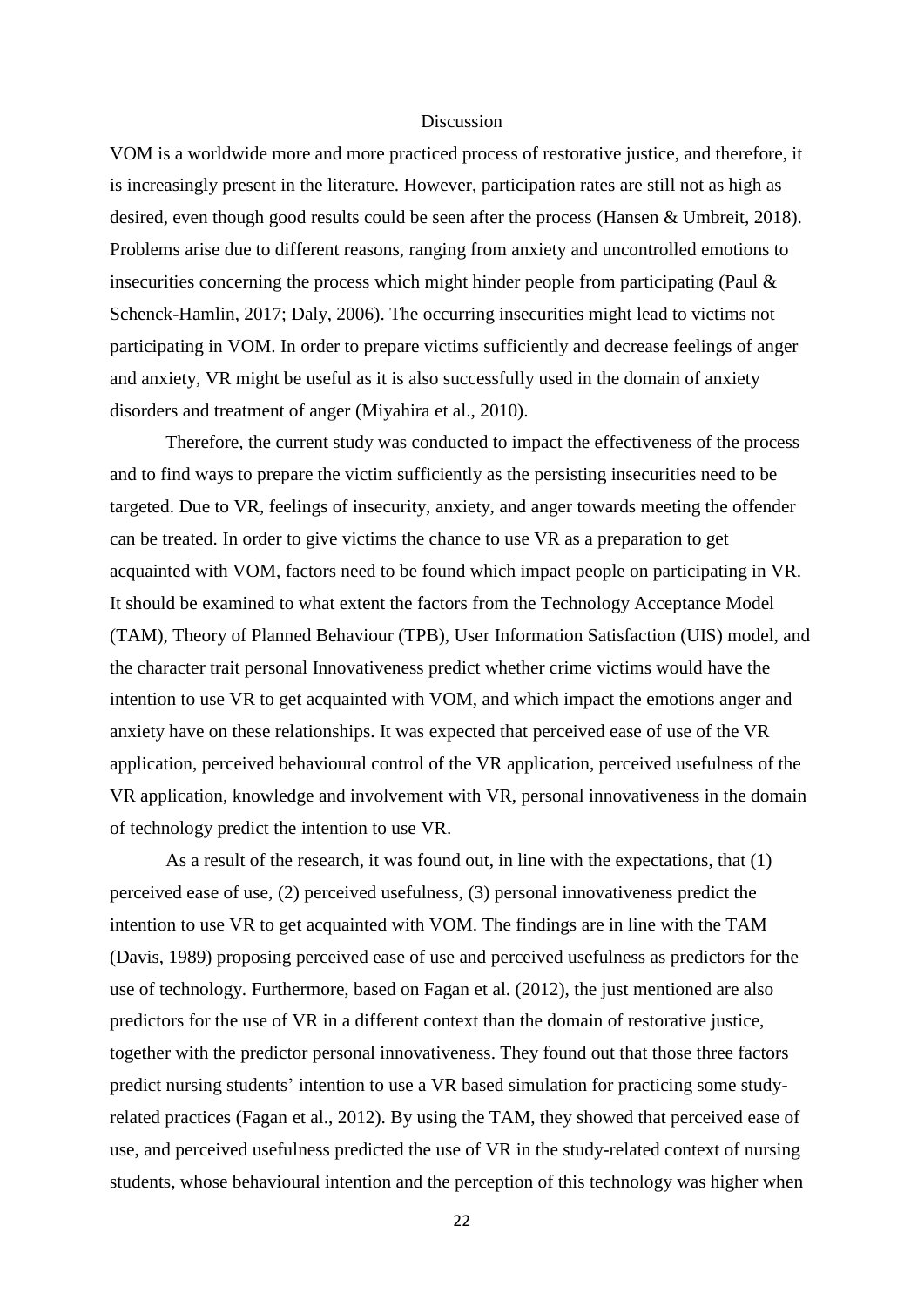#### Discussion

VOM is a worldwide more and more practiced process of restorative justice, and therefore, it is increasingly present in the literature. However, participation rates are still not as high as desired, even though good results could be seen after the process (Hansen & Umbreit, 2018). Problems arise due to different reasons, ranging from anxiety and uncontrolled emotions to insecurities concerning the process which might hinder people from participating (Paul & Schenck-Hamlin, 2017; Daly, 2006). The occurring insecurities might lead to victims not participating in VOM. In order to prepare victims sufficiently and decrease feelings of anger and anxiety, VR might be useful as it is also successfully used in the domain of anxiety disorders and treatment of anger (Miyahira et al., 2010).

Therefore, the current study was conducted to impact the effectiveness of the process and to find ways to prepare the victim sufficiently as the persisting insecurities need to be targeted. Due to VR, feelings of insecurity, anxiety, and anger towards meeting the offender can be treated. In order to give victims the chance to use VR as a preparation to get acquainted with VOM, factors need to be found which impact people on participating in VR. It should be examined to what extent the factors from the Technology Acceptance Model (TAM), Theory of Planned Behaviour (TPB), User Information Satisfaction (UIS) model, and the character trait personal Innovativeness predict whether crime victims would have the intention to use VR to get acquainted with VOM, and which impact the emotions anger and anxiety have on these relationships. It was expected that perceived ease of use of the VR application, perceived behavioural control of the VR application, perceived usefulness of the VR application, knowledge and involvement with VR, personal innovativeness in the domain of technology predict the intention to use VR.

As a result of the research, it was found out, in line with the expectations, that (1) perceived ease of use, (2) perceived usefulness, (3) personal innovativeness predict the intention to use VR to get acquainted with VOM. The findings are in line with the TAM (Davis, 1989) proposing perceived ease of use and perceived usefulness as predictors for the use of technology. Furthermore, based on Fagan et al. (2012), the just mentioned are also predictors for the use of VR in a different context than the domain of restorative justice, together with the predictor personal innovativeness. They found out that those three factors predict nursing students' intention to use a VR based simulation for practicing some studyrelated practices (Fagan et al., 2012). By using the TAM, they showed that perceived ease of use, and perceived usefulness predicted the use of VR in the study-related context of nursing students, whose behavioural intention and the perception of this technology was higher when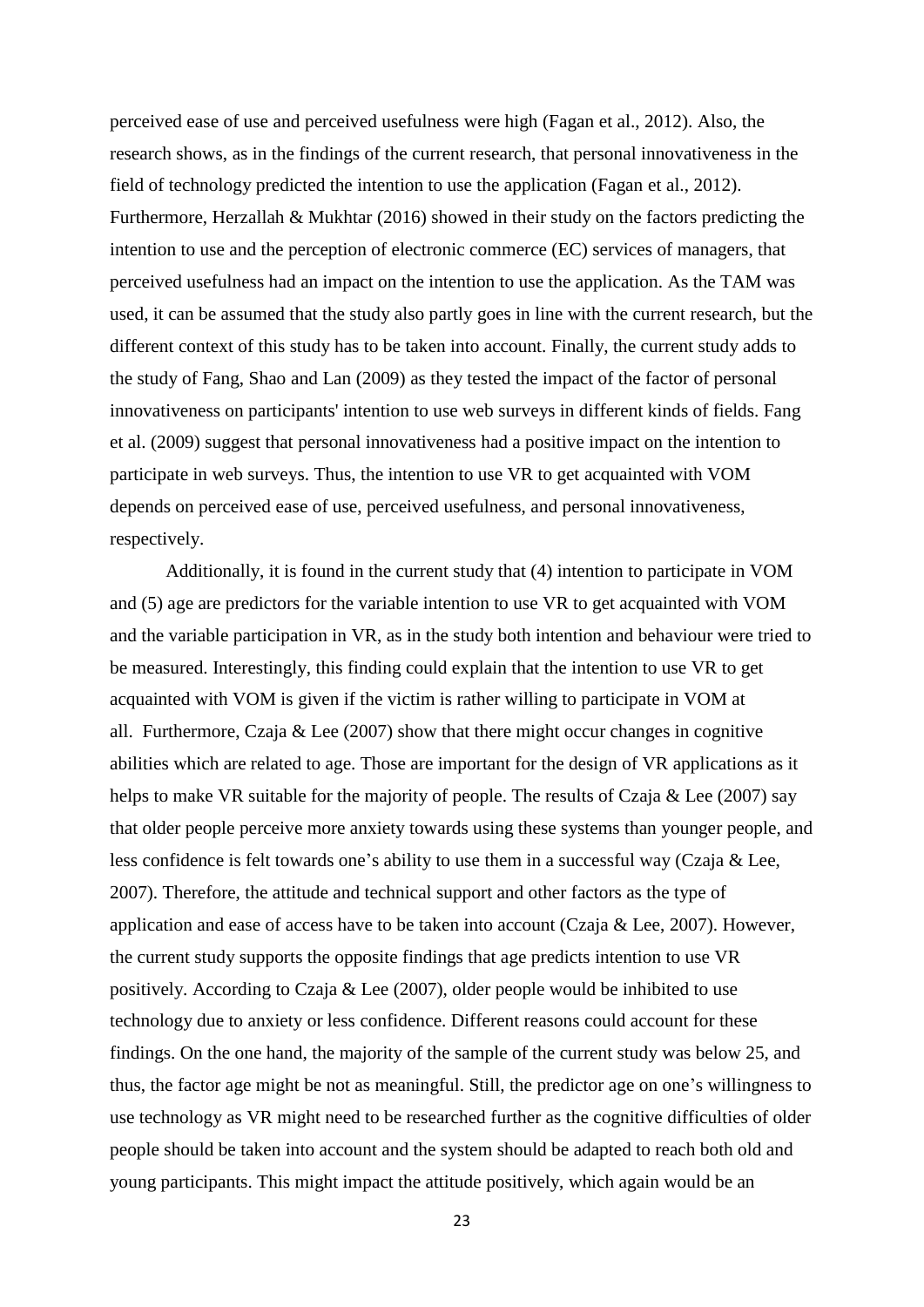perceived ease of use and perceived usefulness were high (Fagan et al., 2012). Also, the research shows, as in the findings of the current research, that personal innovativeness in the field of technology predicted the intention to use the application (Fagan et al., 2012). Furthermore, Herzallah & Mukhtar (2016) showed in their study on the factors predicting the intention to use and the perception of electronic commerce (EC) services of managers, that perceived usefulness had an impact on the intention to use the application. As the TAM was used, it can be assumed that the study also partly goes in line with the current research, but the different context of this study has to be taken into account. Finally, the current study adds to the study of Fang, Shao and Lan (2009) as they tested the impact of the factor of personal innovativeness on participants' intention to use web surveys in different kinds of fields. Fang et al. (2009) suggest that personal innovativeness had a positive impact on the intention to participate in web surveys. Thus, the intention to use VR to get acquainted with VOM depends on perceived ease of use, perceived usefulness, and personal innovativeness, respectively.

Additionally, it is found in the current study that (4) intention to participate in VOM and (5) age are predictors for the variable intention to use VR to get acquainted with VOM and the variable participation in VR, as in the study both intention and behaviour were tried to be measured. Interestingly, this finding could explain that the intention to use VR to get acquainted with VOM is given if the victim is rather willing to participate in VOM at all. Furthermore, Czaja  $& Lee (2007)$  show that there might occur changes in cognitive abilities which are related to age. Those are important for the design of VR applications as it helps to make VR suitable for the majority of people. The results of Czaja & Lee (2007) say that older people perceive more anxiety towards using these systems than younger people, and less confidence is felt towards one's ability to use them in a successful way (Czaja & Lee, 2007). Therefore, the attitude and technical support and other factors as the type of application and ease of access have to be taken into account (Czaja & Lee, 2007). However, the current study supports the opposite findings that age predicts intention to use VR positively. According to Czaja & Lee (2007), older people would be inhibited to use technology due to anxiety or less confidence. Different reasons could account for these findings. On the one hand, the majority of the sample of the current study was below 25, and thus, the factor age might be not as meaningful. Still, the predictor age on one's willingness to use technology as VR might need to be researched further as the cognitive difficulties of older people should be taken into account and the system should be adapted to reach both old and young participants. This might impact the attitude positively, which again would be an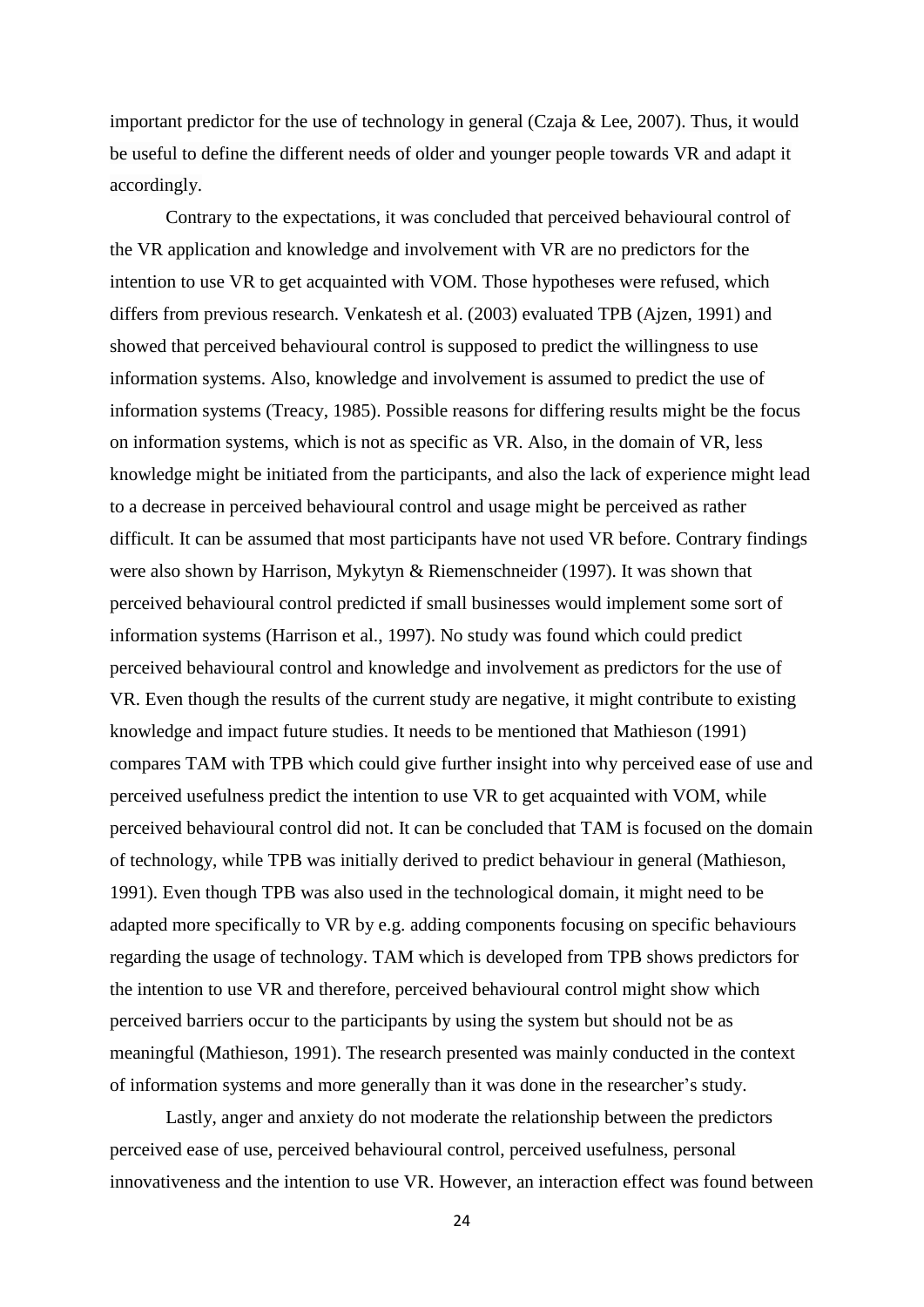important predictor for the use of technology in general (Czaja  $\&$  Lee, 2007). Thus, it would be useful to define the different needs of older and younger people towards VR and adapt it accordingly.

Contrary to the expectations, it was concluded that perceived behavioural control of the VR application and knowledge and involvement with VR are no predictors for the intention to use VR to get acquainted with VOM. Those hypotheses were refused, which differs from previous research. Venkatesh et al. (2003) evaluated TPB (Ajzen, 1991) and showed that perceived behavioural control is supposed to predict the willingness to use information systems. Also, knowledge and involvement is assumed to predict the use of information systems (Treacy, 1985). Possible reasons for differing results might be the focus on information systems, which is not as specific as VR. Also, in the domain of VR, less knowledge might be initiated from the participants, and also the lack of experience might lead to a decrease in perceived behavioural control and usage might be perceived as rather difficult. It can be assumed that most participants have not used VR before. Contrary findings were also shown by Harrison, Mykytyn & Riemenschneider (1997). It was shown that perceived behavioural control predicted if small businesses would implement some sort of information systems (Harrison et al., 1997). No study was found which could predict perceived behavioural control and knowledge and involvement as predictors for the use of VR. Even though the results of the current study are negative, it might contribute to existing knowledge and impact future studies. It needs to be mentioned that Mathieson (1991) compares TAM with TPB which could give further insight into why perceived ease of use and perceived usefulness predict the intention to use VR to get acquainted with VOM, while perceived behavioural control did not. It can be concluded that TAM is focused on the domain of technology, while TPB was initially derived to predict behaviour in general (Mathieson, 1991). Even though TPB was also used in the technological domain, it might need to be adapted more specifically to VR by e.g. adding components focusing on specific behaviours regarding the usage of technology. TAM which is developed from TPB shows predictors for the intention to use VR and therefore, perceived behavioural control might show which perceived barriers occur to the participants by using the system but should not be as meaningful (Mathieson, 1991). The research presented was mainly conducted in the context of information systems and more generally than it was done in the researcher's study.

Lastly, anger and anxiety do not moderate the relationship between the predictors perceived ease of use, perceived behavioural control, perceived usefulness, personal innovativeness and the intention to use VR. However, an interaction effect was found between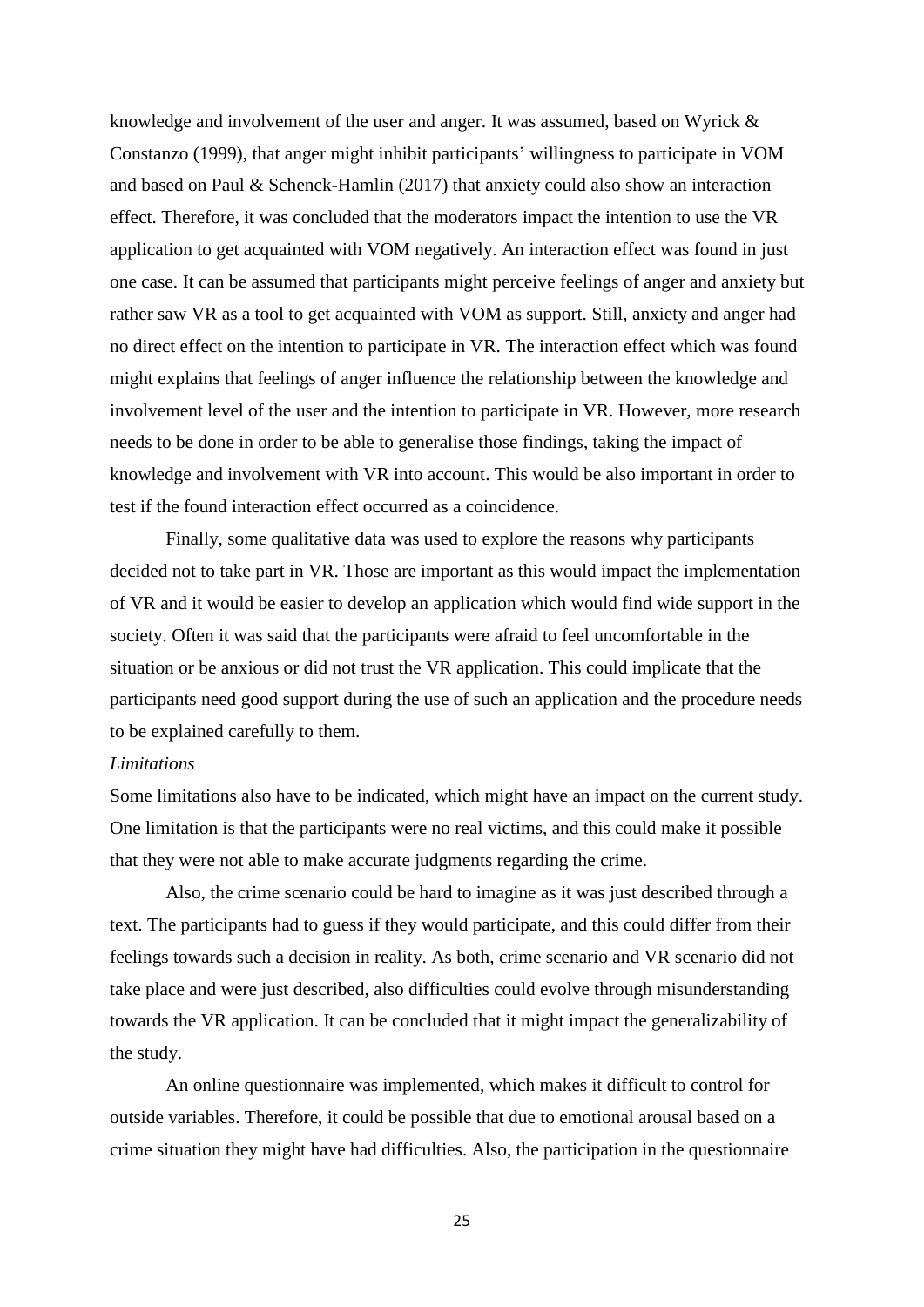knowledge and involvement of the user and anger. It was assumed, based on Wyrick & Constanzo (1999), that anger might inhibit participants' willingness to participate in VOM and based on Paul & Schenck-Hamlin (2017) that anxiety could also show an interaction effect. Therefore, it was concluded that the moderators impact the intention to use the VR application to get acquainted with VOM negatively. An interaction effect was found in just one case. It can be assumed that participants might perceive feelings of anger and anxiety but rather saw VR as a tool to get acquainted with VOM as support. Still, anxiety and anger had no direct effect on the intention to participate in VR. The interaction effect which was found might explains that feelings of anger influence the relationship between the knowledge and involvement level of the user and the intention to participate in VR. However, more research needs to be done in order to be able to generalise those findings, taking the impact of knowledge and involvement with VR into account. This would be also important in order to test if the found interaction effect occurred as a coincidence.

Finally, some qualitative data was used to explore the reasons why participants decided not to take part in VR. Those are important as this would impact the implementation of VR and it would be easier to develop an application which would find wide support in the society. Often it was said that the participants were afraid to feel uncomfortable in the situation or be anxious or did not trust the VR application. This could implicate that the participants need good support during the use of such an application and the procedure needs to be explained carefully to them.

## *Limitations*

Some limitations also have to be indicated, which might have an impact on the current study. One limitation is that the participants were no real victims, and this could make it possible that they were not able to make accurate judgments regarding the crime.

Also, the crime scenario could be hard to imagine as it was just described through a text. The participants had to guess if they would participate, and this could differ from their feelings towards such a decision in reality. As both, crime scenario and VR scenario did not take place and were just described, also difficulties could evolve through misunderstanding towards the VR application. It can be concluded that it might impact the generalizability of the study.

An online questionnaire was implemented, which makes it difficult to control for outside variables. Therefore, it could be possible that due to emotional arousal based on a crime situation they might have had difficulties. Also, the participation in the questionnaire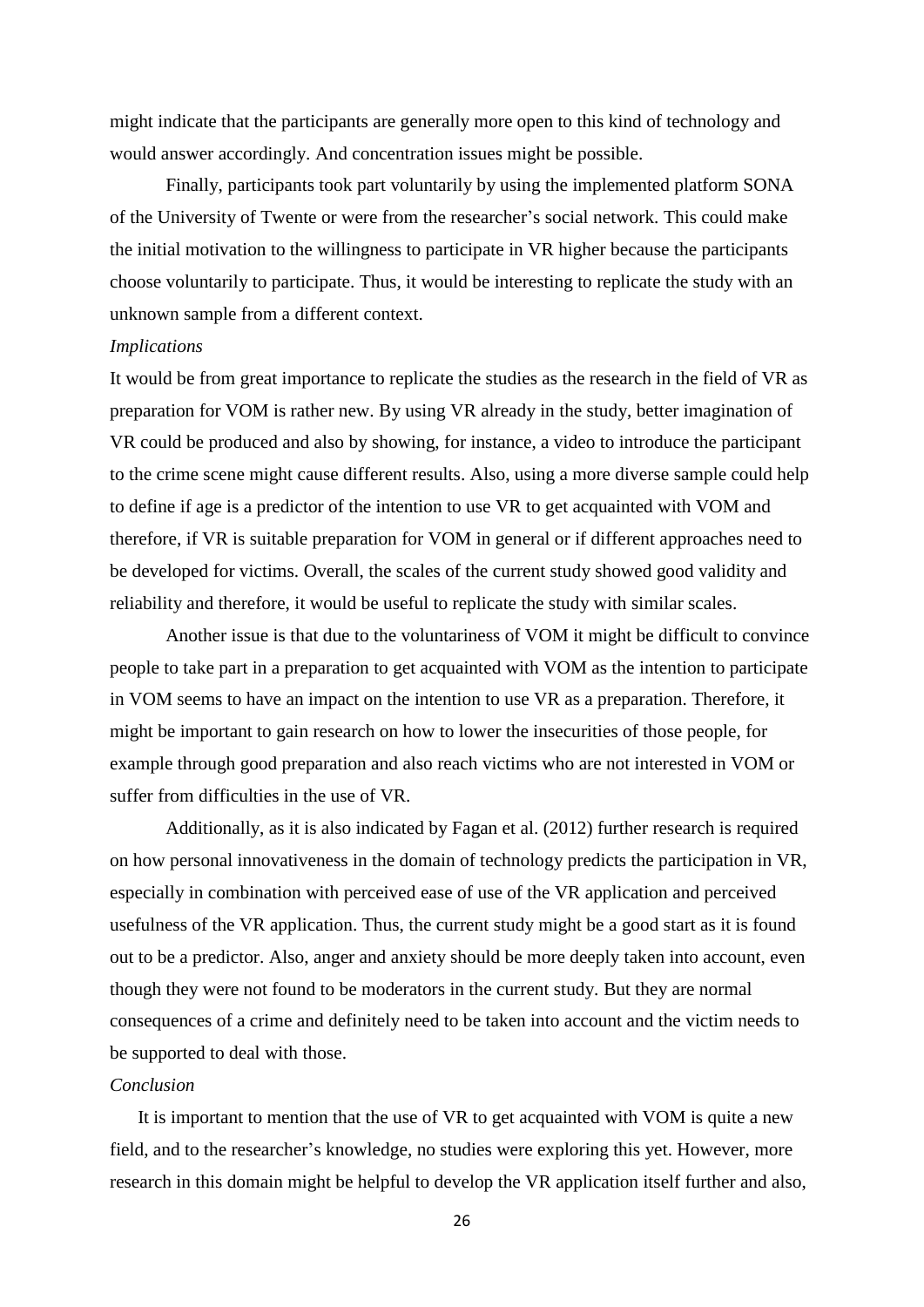might indicate that the participants are generally more open to this kind of technology and would answer accordingly. And concentration issues might be possible.

Finally, participants took part voluntarily by using the implemented platform SONA of the University of Twente or were from the researcher's social network. This could make the initial motivation to the willingness to participate in VR higher because the participants choose voluntarily to participate. Thus, it would be interesting to replicate the study with an unknown sample from a different context.

#### *Implications*

It would be from great importance to replicate the studies as the research in the field of VR as preparation for VOM is rather new. By using VR already in the study, better imagination of VR could be produced and also by showing, for instance, a video to introduce the participant to the crime scene might cause different results. Also, using a more diverse sample could help to define if age is a predictor of the intention to use VR to get acquainted with VOM and therefore, if VR is suitable preparation for VOM in general or if different approaches need to be developed for victims. Overall, the scales of the current study showed good validity and reliability and therefore, it would be useful to replicate the study with similar scales.

Another issue is that due to the voluntariness of VOM it might be difficult to convince people to take part in a preparation to get acquainted with VOM as the intention to participate in VOM seems to have an impact on the intention to use VR as a preparation. Therefore, it might be important to gain research on how to lower the insecurities of those people, for example through good preparation and also reach victims who are not interested in VOM or suffer from difficulties in the use of VR.

Additionally, as it is also indicated by Fagan et al. (2012) further research is required on how personal innovativeness in the domain of technology predicts the participation in VR, especially in combination with perceived ease of use of the VR application and perceived usefulness of the VR application. Thus, the current study might be a good start as it is found out to be a predictor. Also, anger and anxiety should be more deeply taken into account, even though they were not found to be moderators in the current study. But they are normal consequences of a crime and definitely need to be taken into account and the victim needs to be supported to deal with those.

#### *Conclusion*

 It is important to mention that the use of VR to get acquainted with VOM is quite a new field, and to the researcher's knowledge, no studies were exploring this yet. However, more research in this domain might be helpful to develop the VR application itself further and also,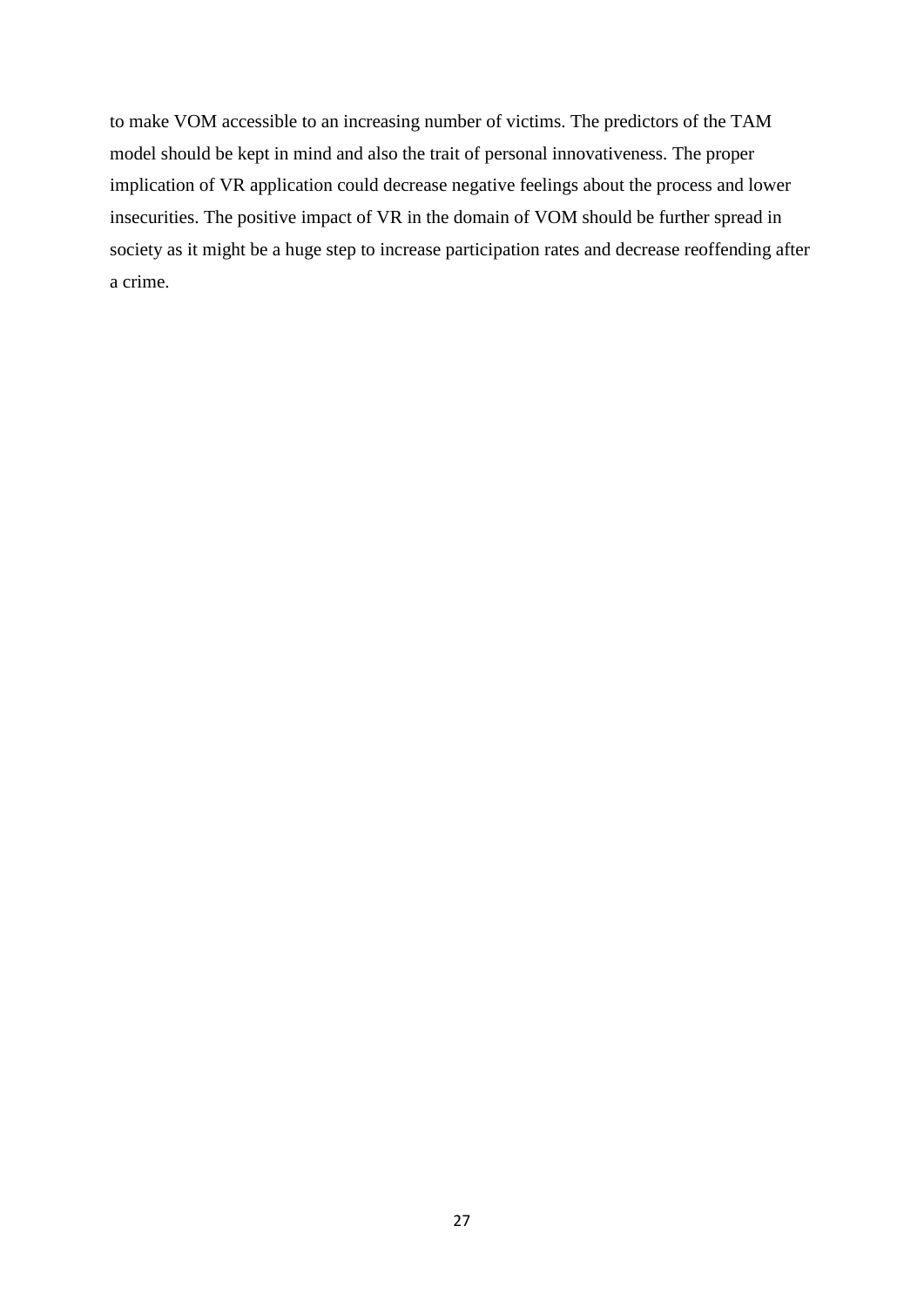to make VOM accessible to an increasing number of victims. The predictors of the TAM model should be kept in mind and also the trait of personal innovativeness. The proper implication of VR application could decrease negative feelings about the process and lower insecurities. The positive impact of VR in the domain of VOM should be further spread in society as it might be a huge step to increase participation rates and decrease reoffending after a crime.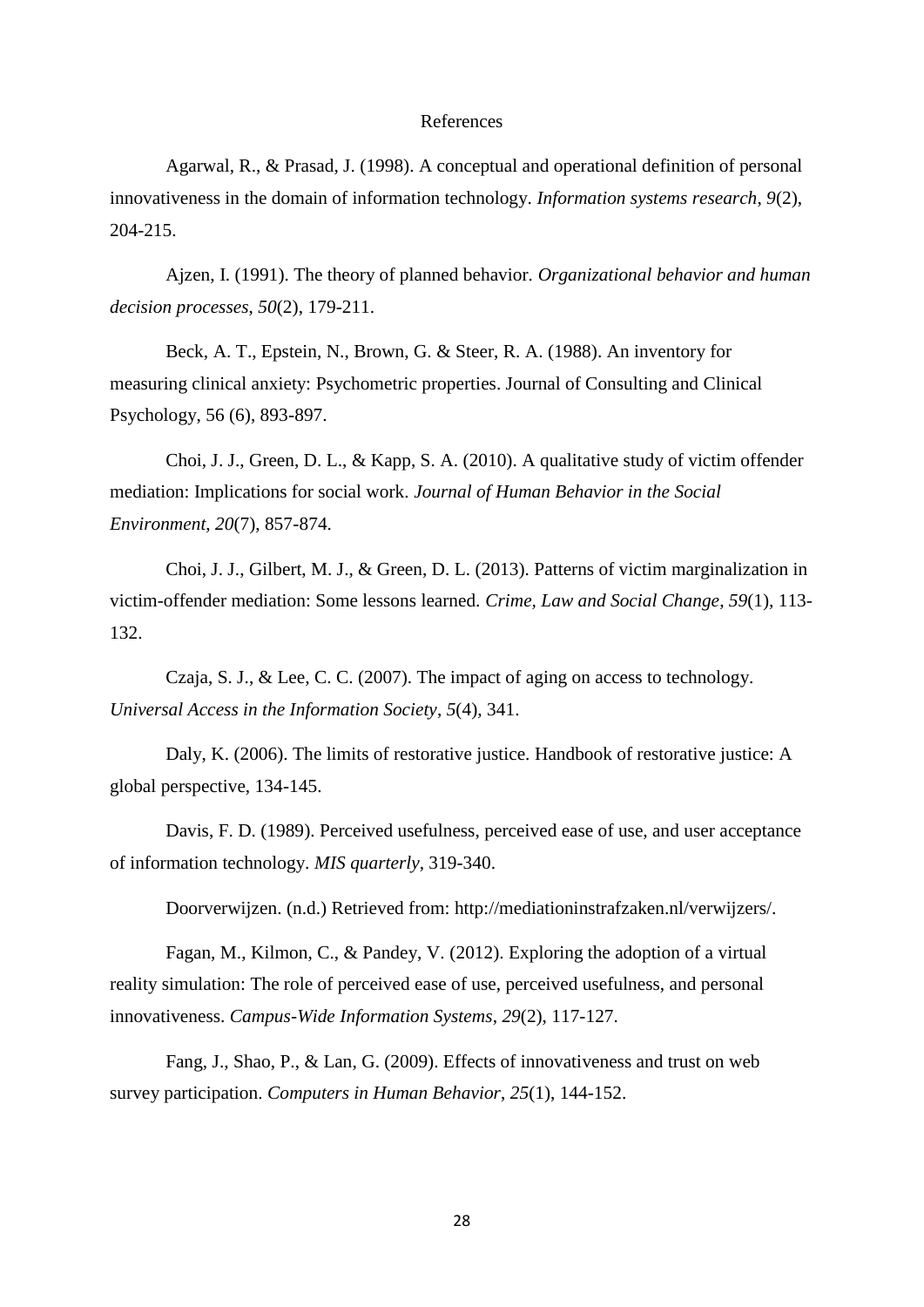#### References

Agarwal, R., & Prasad, J. (1998). A conceptual and operational definition of personal innovativeness in the domain of information technology. *Information systems research*, *9*(2), 204-215.

Ajzen, I. (1991). The theory of planned behavior. *Organizational behavior and human decision processes*, *50*(2), 179-211.

Beck, A. T., Epstein, N., Brown, G. & Steer, R. A. (1988). An inventory for measuring clinical anxiety: Psychometric properties. Journal of Consulting and Clinical Psychology, 56 (6), 893-897.

Choi, J. J., Green, D. L., & Kapp, S. A. (2010). A qualitative study of victim offender mediation: Implications for social work. *Journal of Human Behavior in the Social Environment*, *20*(7), 857-874.

Choi, J. J., Gilbert, M. J., & Green, D. L. (2013). Patterns of victim marginalization in victim-offender mediation: Some lessons learned. *Crime, Law and Social Change*, *59*(1), 113- 132.

Czaja, S. J., & Lee, C. C. (2007). The impact of aging on access to technology. *Universal Access in the Information Society*, *5*(4), 341.

Daly, K. (2006). The limits of restorative justice. Handbook of restorative justice: A global perspective, 134-145.

Davis, F. D. (1989). Perceived usefulness, perceived ease of use, and user acceptance of information technology. *MIS quarterly*, 319-340.

Doorverwijzen. (n.d.) Retrieved from: http://mediationinstrafzaken.nl/verwijzers/.

Fagan, M., Kilmon, C., & Pandey, V. (2012). Exploring the adoption of a virtual reality simulation: The role of perceived ease of use, perceived usefulness, and personal innovativeness. *Campus-Wide Information Systems*, *29*(2), 117-127.

Fang, J., Shao, P., & Lan, G. (2009). Effects of innovativeness and trust on web survey participation. *Computers in Human Behavior*, *25*(1), 144-152.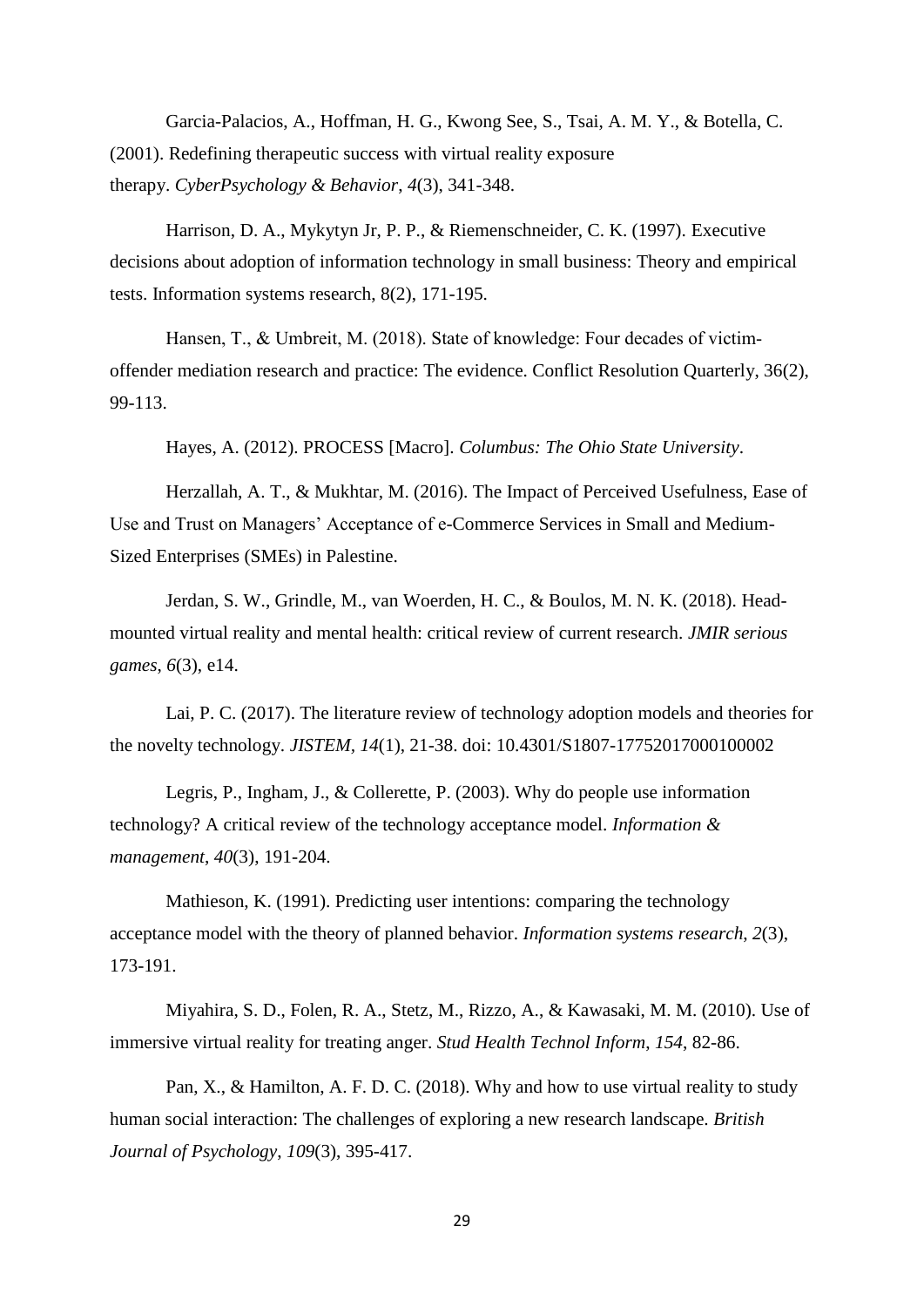Garcia-Palacios, A., Hoffman, H. G., Kwong See, S., Tsai, A. M. Y., & Botella, C. (2001). Redefining therapeutic success with virtual reality exposure therapy. *CyberPsychology & Behavior*, *4*(3), 341-348.

Harrison, D. A., Mykytyn Jr, P. P., & Riemenschneider, C. K. (1997). Executive decisions about adoption of information technology in small business: Theory and empirical tests. Information systems research, 8(2), 171-195.

Hansen, T., & Umbreit, M. (2018). State of knowledge: Four decades of victimoffender mediation research and practice: The evidence. Conflict Resolution Quarterly, 36(2), 99-113.

Hayes, A. (2012). PROCESS [Macro]. *Columbus: The Ohio State University*.

Herzallah, A. T., & Mukhtar, M. (2016). The Impact of Perceived Usefulness, Ease of Use and Trust on Managers' Acceptance of e-Commerce Services in Small and Medium-Sized Enterprises (SMEs) in Palestine.

Jerdan, S. W., Grindle, M., van Woerden, H. C., & Boulos, M. N. K. (2018). Headmounted virtual reality and mental health: critical review of current research. *JMIR serious games*, *6*(3), e14.

Lai, P. C. (2017). The literature review of technology adoption models and theories for the novelty technology. *JISTEM, 14*(1), 21-38. doi: 10.4301/S1807-17752017000100002

Legris, P., Ingham, J., & Collerette, P. (2003). Why do people use information technology? A critical review of the technology acceptance model. *Information & management*, *40*(3), 191-204.

Mathieson, K. (1991). Predicting user intentions: comparing the technology acceptance model with the theory of planned behavior. *Information systems research*, *2*(3), 173-191.

Miyahira, S. D., Folen, R. A., Stetz, M., Rizzo, A., & Kawasaki, M. M. (2010). Use of immersive virtual reality for treating anger. *Stud Health Technol Inform*, *154*, 82-86.

Pan, X., & Hamilton, A. F. D. C. (2018). Why and how to use virtual reality to study human social interaction: The challenges of exploring a new research landscape. *British Journal of Psychology*, *109*(3), 395-417.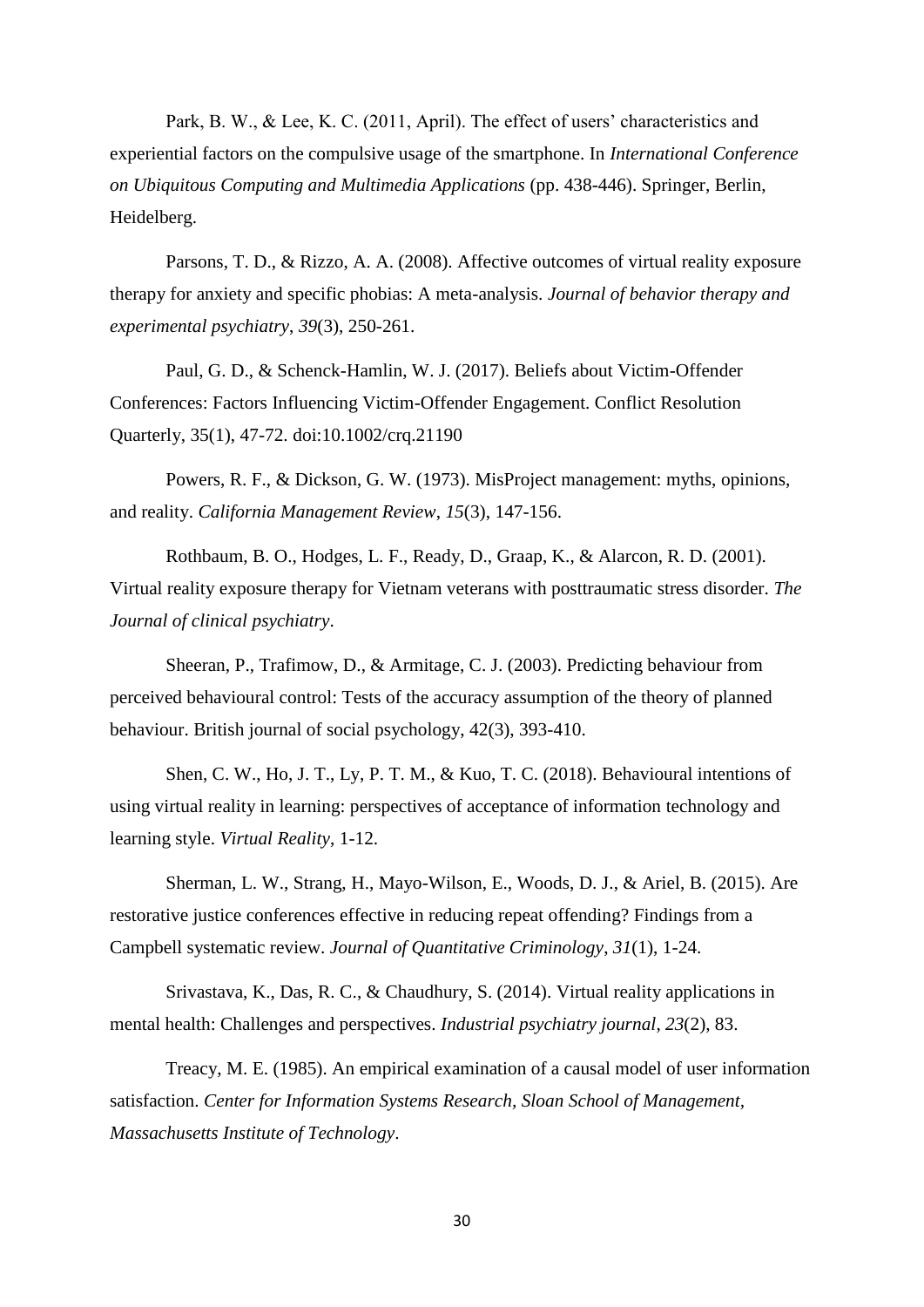Park, B. W., & Lee, K. C. (2011, April). The effect of users' characteristics and experiential factors on the compulsive usage of the smartphone. In *International Conference on Ubiquitous Computing and Multimedia Applications* (pp. 438-446). Springer, Berlin, Heidelberg.

Parsons, T. D., & Rizzo, A. A. (2008). Affective outcomes of virtual reality exposure therapy for anxiety and specific phobias: A meta-analysis. *Journal of behavior therapy and experimental psychiatry*, *39*(3), 250-261.

Paul, G. D., & Schenck-Hamlin, W. J. (2017). Beliefs about Victim-Offender Conferences: Factors Influencing Victim-Offender Engagement. Conflict Resolution Quarterly, 35(1), 47-72. doi:10.1002/crq.21190

Powers, R. F., & Dickson, G. W. (1973). MisProject management: myths, opinions, and reality. *California Management Review*, *15*(3), 147-156.

Rothbaum, B. O., Hodges, L. F., Ready, D., Graap, K., & Alarcon, R. D. (2001). Virtual reality exposure therapy for Vietnam veterans with posttraumatic stress disorder. *The Journal of clinical psychiatry*.

Sheeran, P., Trafimow, D., & Armitage, C. J. (2003). Predicting behaviour from perceived behavioural control: Tests of the accuracy assumption of the theory of planned behaviour. British journal of social psychology, 42(3), 393-410.

Shen, C. W., Ho, J. T., Ly, P. T. M., & Kuo, T. C. (2018). Behavioural intentions of using virtual reality in learning: perspectives of acceptance of information technology and learning style. *Virtual Reality*, 1-12.

Sherman, L. W., Strang, H., Mayo-Wilson, E., Woods, D. J., & Ariel, B. (2015). Are restorative justice conferences effective in reducing repeat offending? Findings from a Campbell systematic review. *Journal of Quantitative Criminology*, *31*(1), 1-24.

Srivastava, K., Das, R. C., & Chaudhury, S. (2014). Virtual reality applications in mental health: Challenges and perspectives. *Industrial psychiatry journal*, *23*(2), 83.

Treacy, M. E. (1985). An empirical examination of a causal model of user information satisfaction. *Center for Information Systems Research, Sloan School of Management, Massachusetts Institute of Technology*.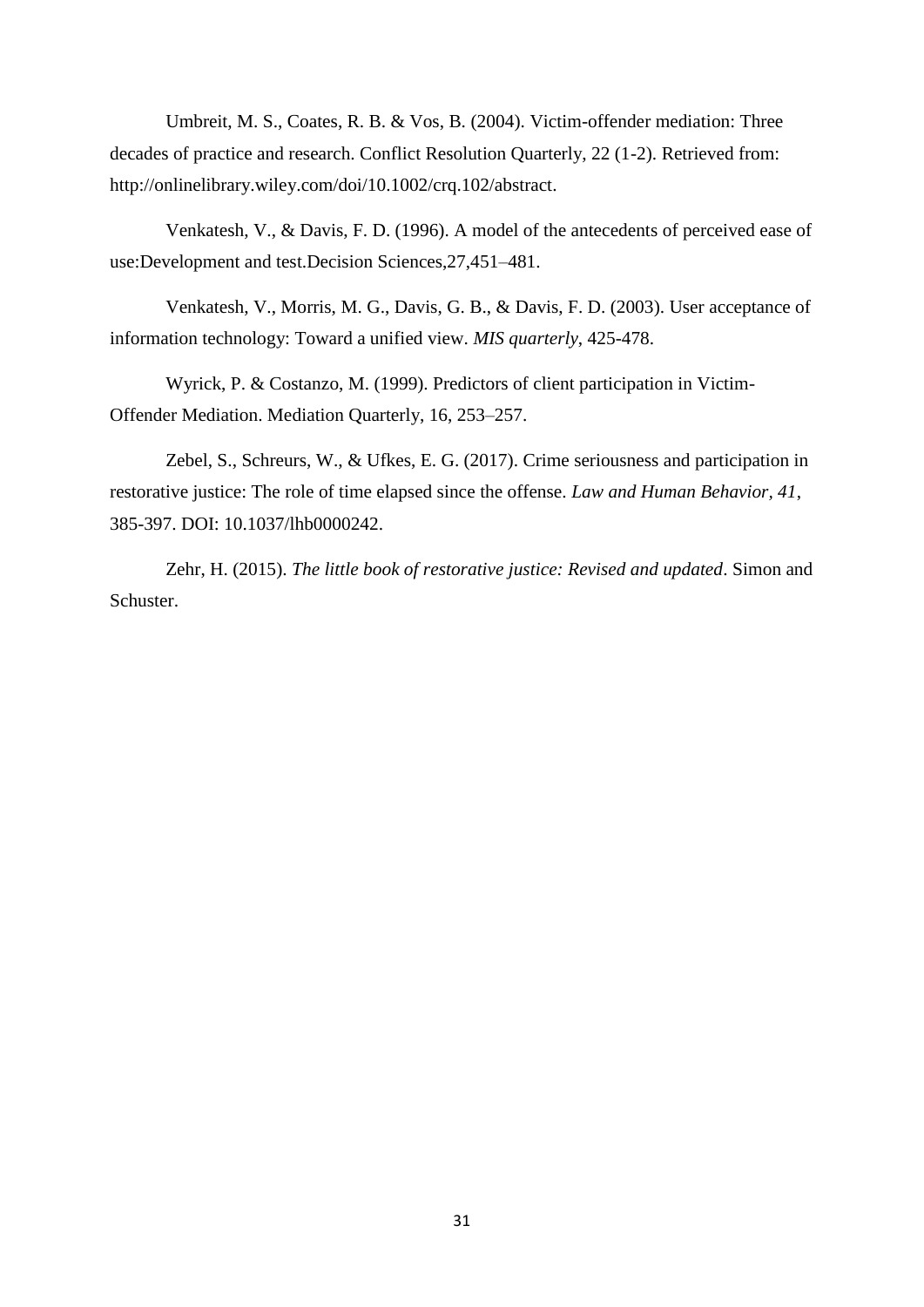Umbreit, M. S., Coates, R. B. & Vos, B. (2004). Victim-offender mediation: Three decades of practice and research. Conflict Resolution Quarterly, 22 (1-2). Retrieved from: http://onlinelibrary.wiley.com/doi/10.1002/crq.102/abstract.

Venkatesh, V., & Davis, F. D. (1996). A model of the antecedents of perceived ease of use:Development and test.Decision Sciences,27,451–481.

Venkatesh, V., Morris, M. G., Davis, G. B., & Davis, F. D. (2003). User acceptance of information technology: Toward a unified view. *MIS quarterly*, 425-478.

Wyrick, P. & Costanzo, M. (1999). Predictors of client participation in Victim-Offender Mediation. Mediation Quarterly, 16, 253–257[.](https://doi.org/10.1111/bjop.12290)

Zebel, S., Schreurs, W., & Ufkes, E. G. (2017). Crime seriousness and participation in restorative justice: The role of time elapsed since the offense. *Law and Human Behavior, 41*, 385-397. DOI: 10.1037/lhb0000242.

Zehr, H. (2015). *The little book of restorative justice: Revised and updated*. Simon and Schuster.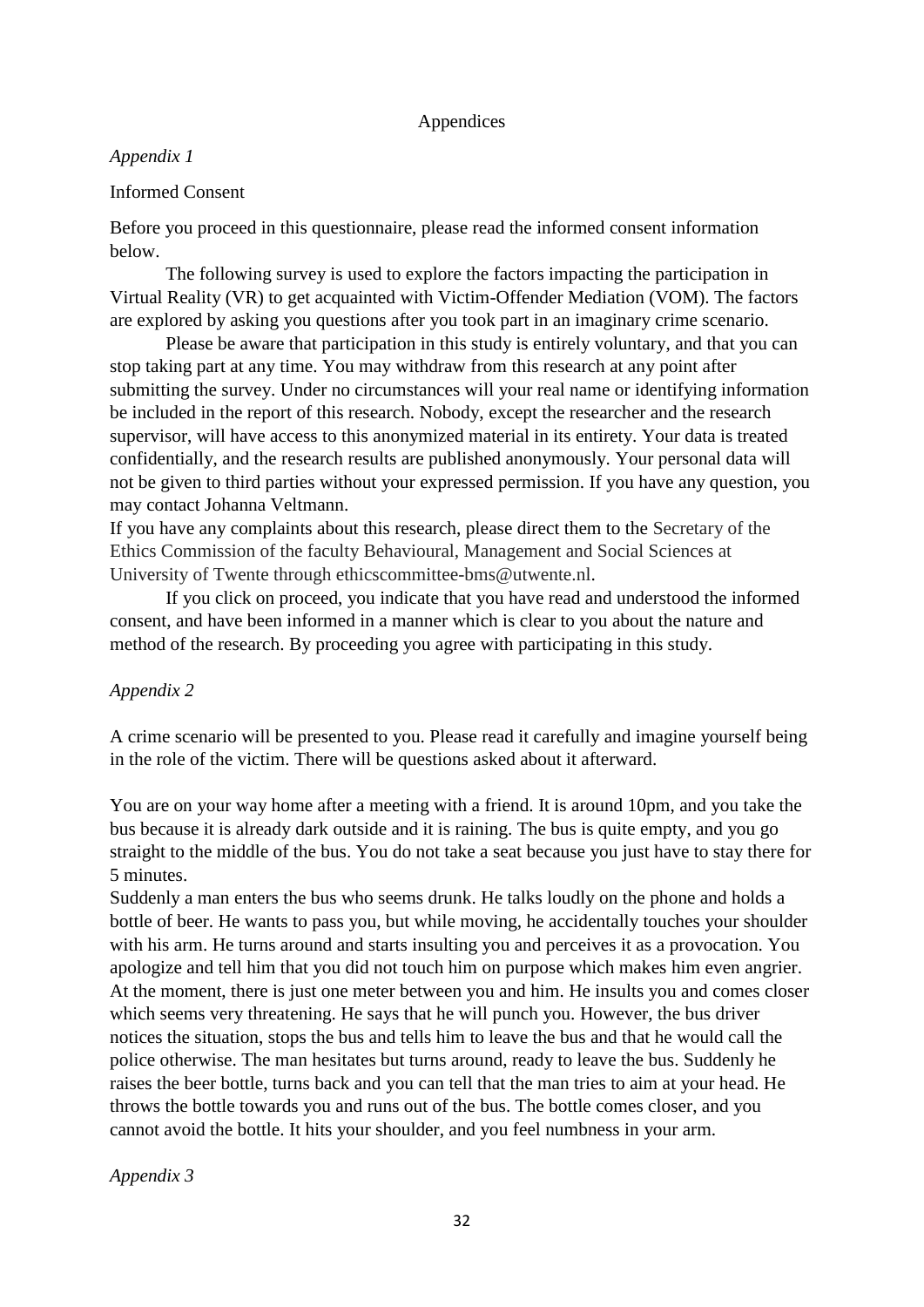## Appendices

## *Appendix 1*

## Informed Consent

Before you proceed in this questionnaire, please read the informed consent information below.

The following survey is used to explore the factors impacting the participation in Virtual Reality (VR) to get acquainted with Victim-Offender Mediation (VOM). The factors are explored by asking you questions after you took part in an imaginary crime scenario.

Please be aware that participation in this study is entirely voluntary, and that you can stop taking part at any time. You may withdraw from this research at any point after submitting the survey. Under no circumstances will your real name or identifying information be included in the report of this research. Nobody, except the researcher and the research supervisor, will have access to this anonymized material in its entirety. Your data is treated confidentially, and the research results are published anonymously. Your personal data will not be given to third parties without your expressed permission. If you have any question, you may contact Johanna Veltmann.

If you have any complaints about this research, please direct them to the Secretary of the Ethics Commission of the faculty Behavioural, Management and Social Sciences at University of Twente through ethicscommittee-bms@utwente.nl.

If you click on proceed, you indicate that you have read and understood the informed consent, and have been informed in a manner which is clear to you about the nature and method of the research. By proceeding you agree with participating in this study.

# *Appendix 2*

A crime scenario will be presented to you. Please read it carefully and imagine yourself being in the role of the victim. There will be questions asked about it afterward.

You are on your way home after a meeting with a friend. It is around 10pm, and you take the bus because it is already dark outside and it is raining. The bus is quite empty, and you go straight to the middle of the bus. You do not take a seat because you just have to stay there for 5 minutes.

Suddenly a man enters the bus who seems drunk. He talks loudly on the phone and holds a bottle of beer. He wants to pass you, but while moving, he accidentally touches your shoulder with his arm. He turns around and starts insulting you and perceives it as a provocation. You apologize and tell him that you did not touch him on purpose which makes him even angrier. At the moment, there is just one meter between you and him. He insults you and comes closer which seems very threatening. He says that he will punch you. However, the bus driver notices the situation, stops the bus and tells him to leave the bus and that he would call the police otherwise. The man hesitates but turns around, ready to leave the bus. Suddenly he raises the beer bottle, turns back and you can tell that the man tries to aim at your head. He throws the bottle towards you and runs out of the bus. The bottle comes closer, and you cannot avoid the bottle. It hits your shoulder, and you feel numbness in your arm.

*Appendix 3*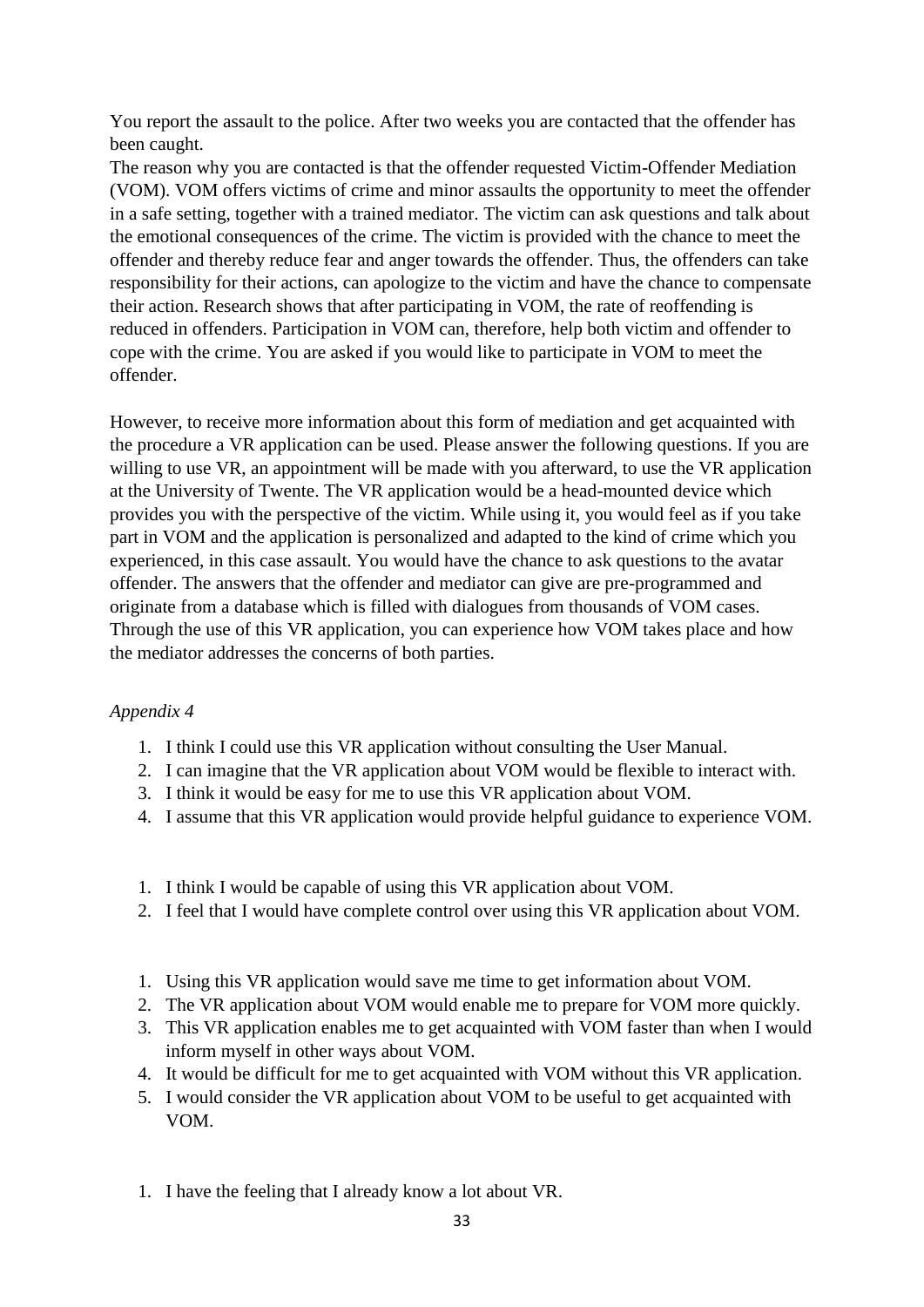You report the assault to the police. After two weeks you are contacted that the offender has been caught.

The reason why you are contacted is that the offender requested Victim-Offender Mediation (VOM). VOM offers victims of crime and minor assaults the opportunity to meet the offender in a safe setting, together with a trained mediator. The victim can ask questions and talk about the emotional consequences of the crime. The victim is provided with the chance to meet the offender and thereby reduce fear and anger towards the offender. Thus, the offenders can take responsibility for their actions, can apologize to the victim and have the chance to compensate their action. Research shows that after participating in VOM, the rate of reoffending is reduced in offenders. Participation in VOM can, therefore, help both victim and offender to cope with the crime. You are asked if you would like to participate in VOM to meet the offender.

However, to receive more information about this form of mediation and get acquainted with the procedure a VR application can be used. Please answer the following questions. If you are willing to use VR, an appointment will be made with you afterward, to use the VR application at the University of Twente. The VR application would be a head-mounted device which provides you with the perspective of the victim. While using it, you would feel as if you take part in VOM and the application is personalized and adapted to the kind of crime which you experienced, in this case assault. You would have the chance to ask questions to the avatar offender. The answers that the offender and mediator can give are pre-programmed and originate from a database which is filled with dialogues from thousands of VOM cases. Through the use of this VR application, you can experience how VOM takes place and how the mediator addresses the concerns of both parties.

# *Appendix 4*

- 1. I think I could use this VR application without consulting the User Manual.
- 2. I can imagine that the VR application about VOM would be flexible to interact with.
- 3. I think it would be easy for me to use this VR application about VOM.
- 4. I assume that this VR application would provide helpful guidance to experience VOM.
- 1. I think I would be capable of using this VR application about VOM.
- 2. I feel that I would have complete control over using this VR application about VOM.
- 1. Using this VR application would save me time to get information about VOM.
- 2. The VR application about VOM would enable me to prepare for VOM more quickly.
- 3. This VR application enables me to get acquainted with VOM faster than when I would inform myself in other ways about VOM.
- 4. It would be difficult for me to get acquainted with VOM without this VR application.
- 5. I would consider the VR application about VOM to be useful to get acquainted with VOM.
- 1. I have the feeling that I already know a lot about VR.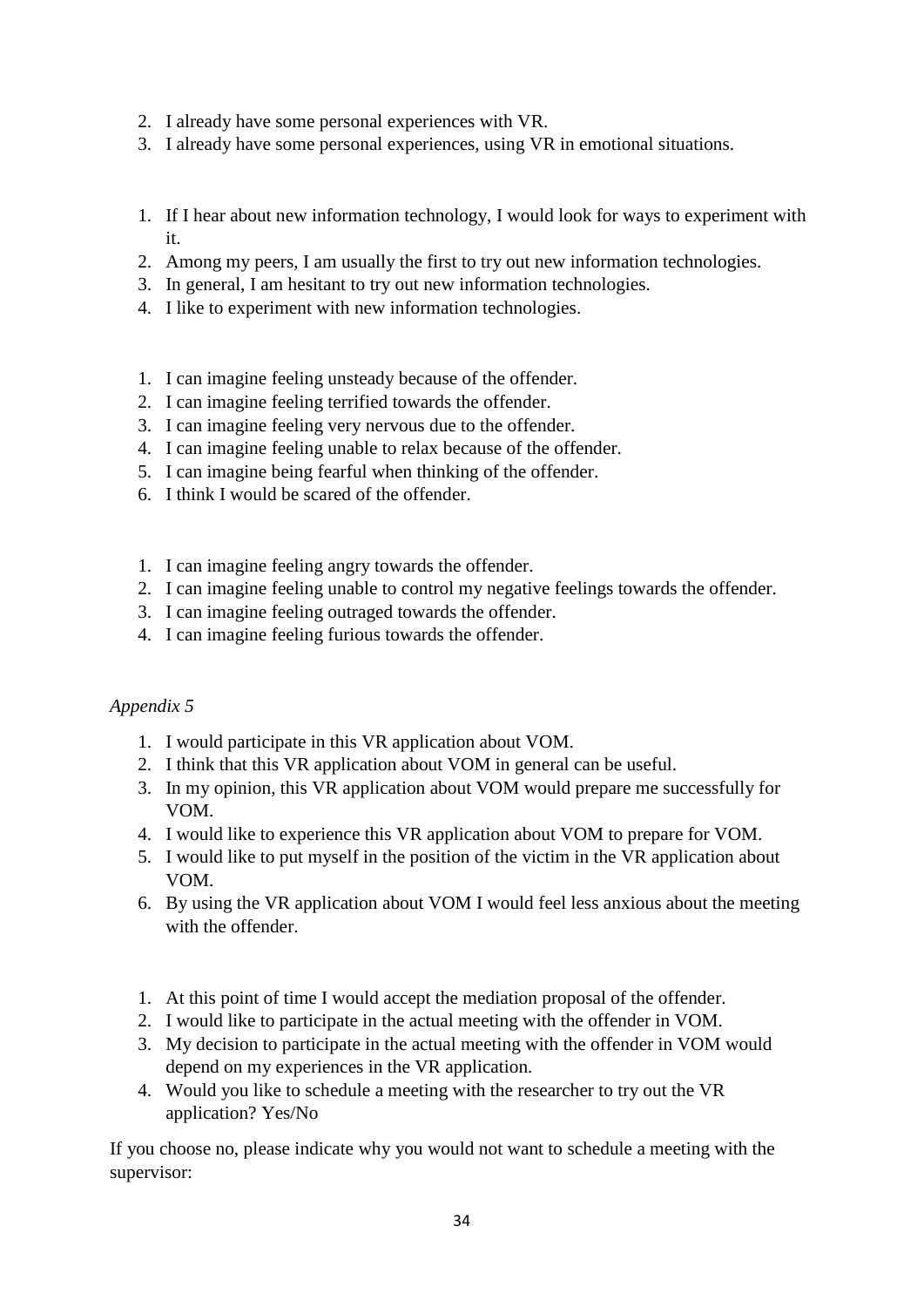- 2. I already have some personal experiences with VR.
- 3. I already have some personal experiences, using VR in emotional situations.
- 1. If I hear about new information technology, I would look for ways to experiment with it.
- 2. Among my peers, I am usually the first to try out new information technologies.
- 3. In general, I am hesitant to try out new information technologies.
- 4. I like to experiment with new information technologies.
- 1. I can imagine feeling unsteady because of the offender.
- 2. I can imagine feeling terrified towards the offender.
- 3. I can imagine feeling very nervous due to the offender.
- 4. I can imagine feeling unable to relax because of the offender.
- 5. I can imagine being fearful when thinking of the offender.
- 6. I think I would be scared of the offender.
- 1. I can imagine feeling angry towards the offender.
- 2. I can imagine feeling unable to control my negative feelings towards the offender.
- 3. I can imagine feeling outraged towards the offender.
- 4. I can imagine feeling furious towards the offender.

# *Appendix 5*

- 1. I would participate in this VR application about VOM.
- 2. I think that this VR application about VOM in general can be useful.
- 3. In my opinion, this VR application about VOM would prepare me successfully for VOM.
- 4. I would like to experience this VR application about VOM to prepare for VOM.
- 5. I would like to put myself in the position of the victim in the VR application about VOM.
- 6. By using the VR application about VOM I would feel less anxious about the meeting with the offender.
- 1. At this point of time I would accept the mediation proposal of the offender.
- 2. I would like to participate in the actual meeting with the offender in VOM.
- 3. My decision to participate in the actual meeting with the offender in VOM would depend on my experiences in the VR application.
- 4. Would you like to schedule a meeting with the researcher to try out the VR application? Yes/No

If you choose no, please indicate why you would not want to schedule a meeting with the supervisor: